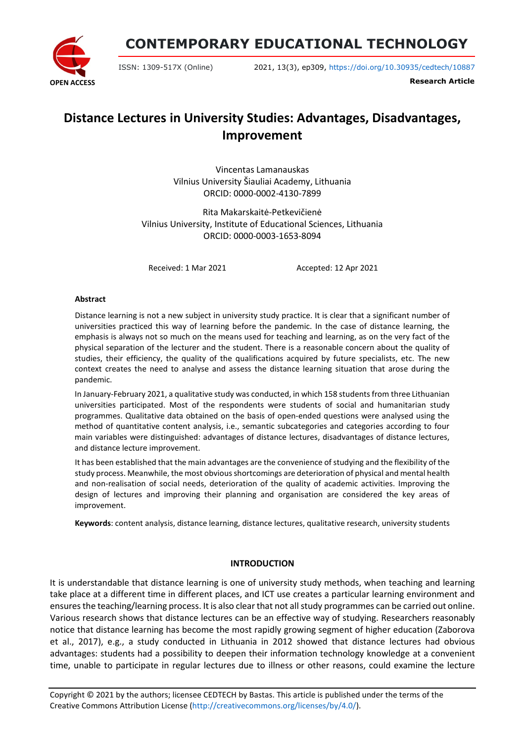**OPEN ACCESS**

**CONTEMPORARY EDUCATIONAL TECHNOLOGY**

ISSN: 1309-517X (Online) 2021, 13(3), ep309, <https://doi.org/10.30935/cedtech/10887>

**Research Article**

# **Distance Lectures in University Studies: Advantages, Disadvantages, Improvement**

Vincentas Lamanauskas Vilnius University Šiauliai Academy, Lithuania ORCID: 0000-0002-4130-7899

Rita Makarskaitė-Petkevičienė Vilnius University, Institute of Educational Sciences, Lithuania ORCID: 0000-0003-1653-8094

Received: 1 Mar 2021 Accepted: 12 Apr 2021

#### **Abstract**

Distance learning is not a new subject in university study practice. It is clear that a significant number of universities practiced this way of learning before the pandemic. In the case of distance learning, the emphasis is always not so much on the means used for teaching and learning, as on the very fact of the physical separation of the lecturer and the student. There is a reasonable concern about the quality of studies, their efficiency, the quality of the qualifications acquired by future specialists, etc. The new context creates the need to analyse and assess the distance learning situation that arose during the pandemic.

In January-February 2021, a qualitative study was conducted, in which 158 students from three Lithuanian universities participated. Most of the respondents were students of social and humanitarian study programmes. Qualitative data obtained on the basis of open-ended questions were analysed using the method of quantitative content analysis, i.e., semantic subcategories and categories according to four main variables were distinguished: advantages of distance lectures, disadvantages of distance lectures, and distance lecture improvement.

It has been established that the main advantages are the convenience of studying and the flexibility of the study process. Meanwhile, the most obvious shortcomings are deterioration of physical and mental health and non-realisation of social needs, deterioration of the quality of academic activities. Improving the design of lectures and improving their planning and organisation are considered the key areas of improvement.

**Keywords**: content analysis, distance learning, distance lectures, qualitative research, university students

### **INTRODUCTION**

It is understandable that distance learning is one of university study methods, when teaching and learning take place at a different time in different places, and ICT use creates a particular learning environment and ensuresthe teaching/learning process. It is also clearthat not allstudy programmes can be carried out online. Various research shows that distance lectures can be an effective way of studying. Researchers reasonably notice that distance learning has become the most rapidly growing segment of higher education (Zaborova et al., 2017), e.g., a study conducted in Lithuania in 2012 showed that distance lectures had obvious advantages: students had a possibility to deepen their information technology knowledge at a convenient time, unable to participate in regular lectures due to illness or other reasons, could examine the lecture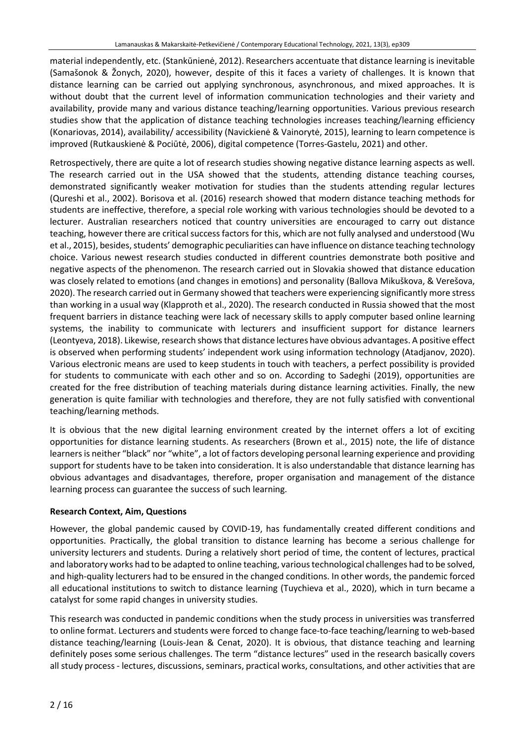material independently, etc. (Stankūnienė, 2012). Researchers accentuate that distance learning is inevitable (Samašonok & Žonych, 2020), however, despite of this it faces a variety of challenges. It is known that distance learning can be carried out applying synchronous, asynchronous, and mixed approaches. It is without doubt that the current level of information communication technologies and their variety and availability, provide many and various distance teaching/learning opportunities. Various previous research studies show that the application of distance teaching technologies increases teaching/learning efficiency (Konariovas, 2014), availability/ accessibility (Navickienė & Vainorytė, 2015), learning to learn competence is improved (Rutkauskienė & Pociūtė, 2006), digital competence (Torres-Gastelu, 2021) and other.

Retrospectively, there are quite a lot of research studies showing negative distance learning aspects as well. The research carried out in the USA showed that the students, attending distance teaching courses, demonstrated significantly weaker motivation for studies than the students attending regular lectures (Qureshi et al., 2002). Borisova et al. (2016) research showed that modern distance teaching methods for students are ineffective, therefore, a special role working with various technologies should be devoted to a lecturer. Australian researchers noticed that country universities are encouraged to carry out distance teaching, however there are critical success factors for this, which are not fully analysed and understood (Wu et al., 2015), besides, students' demographic peculiarities can have influence on distance teaching technology choice. Various newest research studies conducted in different countries demonstrate both positive and negative aspects of the phenomenon. The research carried out in Slovakia showed that distance education was closely related to emotions (and changes in emotions) and personality (Ballova Mikuškova, & Verešova, 2020). The research carried out in Germany showed that teachers were experiencing significantly more stress than working in a usual way (Klapproth et al., 2020). The research conducted in Russia showed that the most frequent barriers in distance teaching were lack of necessary skills to apply computer based online learning systems, the inability to communicate with lecturers and insufficient support for distance learners (Leontyeva, 2018). Likewise, research shows that distance lectures have obvious advantages. A positive effect is observed when performing students' independent work using information technology (Atadjanov, 2020). Various electronic means are used to keep students in touch with teachers, a perfect possibility is provided for students to communicate with each other and so on. According to Sadeghi (2019), opportunities are created for the free distribution of teaching materials during distance learning activities. Finally, the new generation is quite familiar with technologies and therefore, they are not fully satisfied with conventional teaching/learning methods.

It is obvious that the new digital learning environment created by the internet offers a lot of exciting opportunities for distance learning students. As researchers (Brown et al., 2015) note, the life of distance learnersis neither "black" nor "white", a lot of factors developing personal learning experience and providing support for students have to be taken into consideration. It is also understandable that distance learning has obvious advantages and disadvantages, therefore, proper organisation and management of the distance learning process can guarantee the success of such learning.

# **Research Context, Aim, Questions**

However, the global pandemic caused by COVID-19, has fundamentally created different conditions and opportunities. Practically, the global transition to distance learning has become a serious challenge for university lecturers and students. During a relatively short period of time, the content of lectures, practical and laboratory works had to be adapted to online teaching, varioustechnological challenges had to be solved, and high-quality lecturers had to be ensured in the changed conditions. In other words, the pandemic forced all educational institutions to switch to distance learning (Tuychieva et al., 2020), which in turn became a catalyst for some rapid changes in university studies.

This research was conducted in pandemic conditions when the study process in universities was transferred to online format. Lecturers and students were forced to change face-to-face teaching/learning to web-based distance teaching/learning (Louis-Jean & Cenat, 2020). It is obvious, that distance teaching and learning definitely poses some serious challenges. The term "distance lectures" used in the research basically covers all study process - lectures, discussions, seminars, practical works, consultations, and other activities that are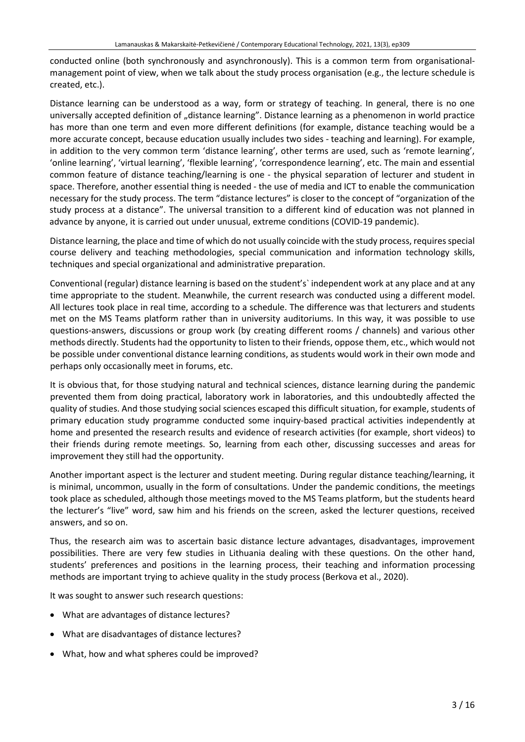conducted online (both synchronously and asynchronously). This is a common term from organisationalmanagement point of view, when we talk about the study process organisation (e.g., the lecture schedule is created, etc.).

Distance learning can be understood as a way, form or strategy of teaching. In general, there is no one universally accepted definition of "distance learning". Distance learning as a phenomenon in world practice has more than one term and even more different definitions (for example, distance teaching would be a more accurate concept, because education usually includes two sides - teaching and learning). For example, in addition to the very common term 'distance learning', other terms are used, such as 'remote learning', 'online learning', 'virtual learning', 'flexible learning', 'correspondence learning', etc. The main and essential common feature of distance teaching/learning is one - the physical separation of lecturer and student in space. Therefore, another essential thing is needed - the use of media and ICT to enable the communication necessary for the study process. The term "distance lectures" is closer to the concept of "organization of the study process at a distance". The universal transition to a different kind of education was not planned in advance by anyone, it is carried out under unusual, extreme conditions (COVID-19 pandemic).

Distance learning, the place and time of which do not usually coincide with the study process, requires special course delivery and teaching methodologies, special communication and information technology skills, techniques and special organizational and administrative preparation.

Conventional (regular) distance learning is based on the student's` independent work at any place and at any time appropriate to the student. Meanwhile, the current research was conducted using a different model. All lectures took place in real time, according to a schedule. The difference was that lecturers and students met on the MS Teams platform rather than in university auditoriums. In this way, it was possible to use questions-answers, discussions or group work (by creating different rooms / channels) and various other methods directly. Students had the opportunity to listen to their friends, oppose them, etc., which would not be possible under conventional distance learning conditions, as students would work in their own mode and perhaps only occasionally meet in forums, etc.

It is obvious that, for those studying natural and technical sciences, distance learning during the pandemic prevented them from doing practical, laboratory work in laboratories, and this undoubtedly affected the quality of studies. And those studying social sciences escaped this difficult situation, for example, students of primary education study programme conducted some inquiry-based practical activities independently at home and presented the research results and evidence of research activities (for example, short videos) to their friends during remote meetings. So, learning from each other, discussing successes and areas for improvement they still had the opportunity.

Another important aspect is the lecturer and student meeting. During regular distance teaching/learning, it is minimal, uncommon, usually in the form of consultations. Under the pandemic conditions, the meetings took place as scheduled, although those meetings moved to the MS Teams platform, but the students heard the lecturer's "live" word, saw him and his friends on the screen, asked the lecturer questions, received answers, and so on.

Thus, the research aim was to ascertain basic distance lecture advantages, disadvantages, improvement possibilities. There are very few studies in Lithuania dealing with these questions. On the other hand, students' preferences and positions in the learning process, their teaching and information processing methods are important trying to achieve quality in the study process (Berkova et al., 2020).

It was sought to answer such research questions:

- What are advantages of distance lectures?
- What are disadvantages of distance lectures?
- What, how and what spheres could be improved?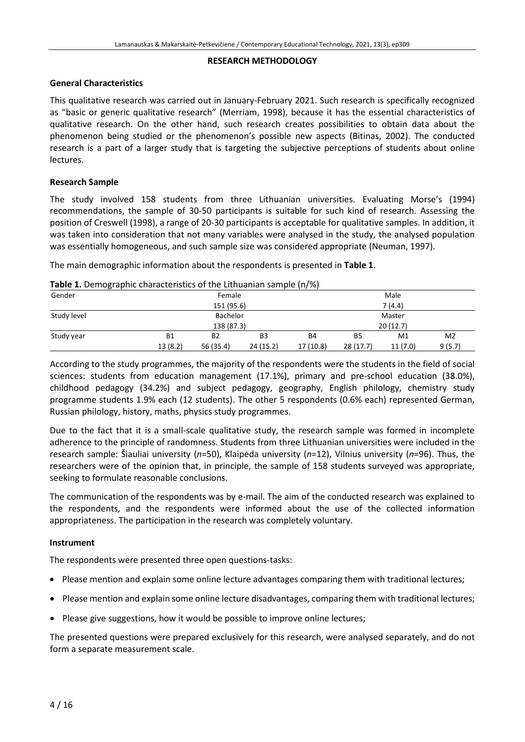#### **RESEARCH METHODOLOGY**

# **General Characteristics**

This qualitative research was carried out in January-February 2021. Such research is specifically recognized as "basic or generic qualitative research" (Merriam, 1998), because it has the essential characteristics of qualitative research. On the other hand, such research creates possibilities to obtain data about the phenomenon being studied or the phenomenon's possible new aspects (Bitinas, 2002). The conducted research is a part of a larger study that is targeting the subjective perceptions of students about online lectures.

# **Research Sample**

The study involved 158 students from three Lithuanian universities. Evaluating Morse's (1994) recommendations, the sample of 30-50 participants is suitable for such kind of research. Assessing the position of Creswell (1998), a range of 20-30 participants is acceptable for qualitative samples. In addition, it was taken into consideration that not many variables were analysed in the study, the analysed population was essentially homogeneous, and such sample size was considered appropriate (Neuman, 1997).

The main demographic information about the respondents is presented in **Table 1**.

|  |  |  | Table 1. Demographic characteristics of the Lithuanian sample (n/%) |  |  |
|--|--|--|---------------------------------------------------------------------|--|--|
|--|--|--|---------------------------------------------------------------------|--|--|

| Gender      | Female             |                |                |           | Male           |                |                |  |
|-------------|--------------------|----------------|----------------|-----------|----------------|----------------|----------------|--|
|             |                    | 151 (95.6)     |                |           |                | 7 (4.4)        |                |  |
| Study level | Bachelor<br>Master |                |                |           |                |                |                |  |
|             | 138 (87.3)         |                |                | 20(12.7)  |                |                |                |  |
| Study year  | <b>B1</b>          | B <sub>2</sub> | B <sub>3</sub> | <b>B4</b> | B <sub>5</sub> | M <sub>1</sub> | M <sub>2</sub> |  |
|             | 13(8.2)            | 56 (35.4)      | 24 (15.2)      | 17 (10.8) | 28(17.7)       | 11(7.0)        | 9(5.7)         |  |

According to the study programmes, the majority of the respondents were the students in the field of social sciences: students from education management (17.1%), primary and pre-school education (38.0%), childhood pedagogy (34.2%) and subject pedagogy, geography, English philology, chemistry study programme students 1.9% each (12 students). The other 5 respondents (0.6% each) represented German, Russian philology, history, maths, physics study programmes.

Due to the fact that it is a small-scale qualitative study, the research sample was formed in incomplete adherence to the principle of randomness. Students from three Lithuanian universities were included in the research sample: Šiauliai university (*n*=50), Klaipėda university (*n*=12), Vilnius university (*n*=96). Thus, the researchers were of the opinion that, in principle, the sample of 158 students surveyed was appropriate, seeking to formulate reasonable conclusions.

The communication of the respondents was by e-mail. The aim of the conducted research was explained to the respondents, and the respondents were informed about the use of the collected information appropriateness. The participation in the research was completely voluntary.

### **Instrument**

The respondents were presented three open questions-tasks:

- Please mention and explain some online lecture advantages comparing them with traditional lectures;
- Please mention and explain some online lecture disadvantages, comparing them with traditional lectures;
- Please give suggestions, how it would be possible to improve online lectures;

The presented questions were prepared exclusively for this research, were analysed separately, and do not form a separate measurement scale.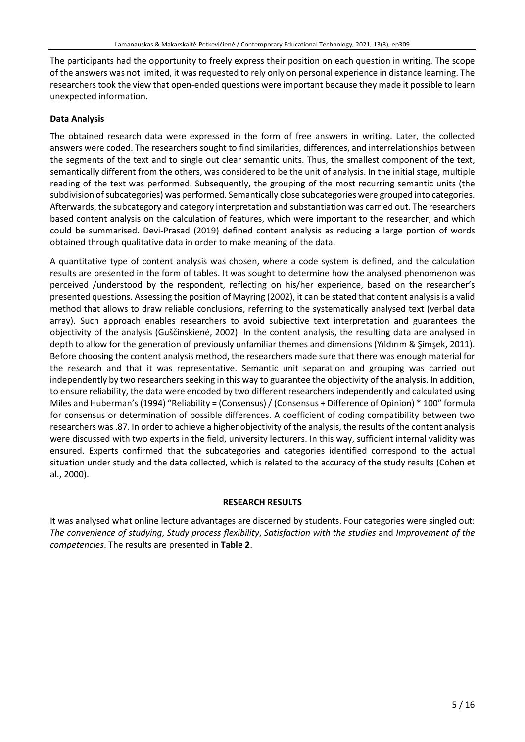The participants had the opportunity to freely express their position on each question in writing. The scope of the answers was not limited, it was requested to rely only on personal experience in distance learning. The researchers took the view that open-ended questions were important because they made it possible to learn unexpected information.

# **Data Analysis**

The obtained research data were expressed in the form of free answers in writing. Later, the collected answers were coded. The researchers sought to find similarities, differences, and interrelationships between the segments of the text and to single out clear semantic units. Thus, the smallest component of the text, semantically different from the others, was considered to be the unit of analysis. In the initial stage, multiple reading of the text was performed. Subsequently, the grouping of the most recurring semantic units (the subdivision of subcategories) was performed. Semantically close subcategories were grouped into categories. Afterwards, the subcategory and category interpretation and substantiation was carried out. The researchers based content analysis on the calculation of features, which were important to the researcher, and which could be summarised. Devi-Prasad (2019) defined content analysis as reducing a large portion of words obtained through qualitative data in order to make meaning of the data.

A quantitative type of content analysis was chosen, where a code system is defined, and the calculation results are presented in the form of tables. It was sought to determine how the analysed phenomenon was perceived /understood by the respondent, reflecting on his/her experience, based on the researcher's presented questions. Assessing the position of Mayring (2002), it can be stated that content analysisis a valid method that allows to draw reliable conclusions, referring to the systematically analysed text (verbal data array). Such approach enables researchers to avoid subjective text interpretation and guarantees the objectivity of the analysis (Guščinskienė, 2002). In the content analysis, the resulting data are analysed in depth to allow for the generation of previously unfamiliar themes and dimensions (Yıldırım & Şimşek, 2011). Before choosing the content analysis method, the researchers made sure that there was enough material for the research and that it was representative. Semantic unit separation and grouping was carried out independently by two researchers seeking in this way to guarantee the objectivity of the analysis. In addition, to ensure reliability, the data were encoded by two different researchers independently and calculated using Miles and Huberman's (1994) "Reliability = (Consensus) / (Consensus + Difference of Opinion) \* 100" formula for consensus or determination of possible differences. A coefficient of coding compatibility between two researchers was.87. In order to achieve a higher objectivity of the analysis, the results of the content analysis were discussed with two experts in the field, university lecturers. In this way, sufficient internal validity was ensured. Experts confirmed that the subcategories and categories identified correspond to the actual situation under study and the data collected, which is related to the accuracy of the study results (Cohen et al., 2000).

### **RESEARCH RESULTS**

It was analysed what online lecture advantages are discerned by students. Four categories were singled out: *The convenience of studying*, *Study process flexibility*, *Satisfaction with the studies* and *Improvement of the competencies*. The results are presented in **Table 2**.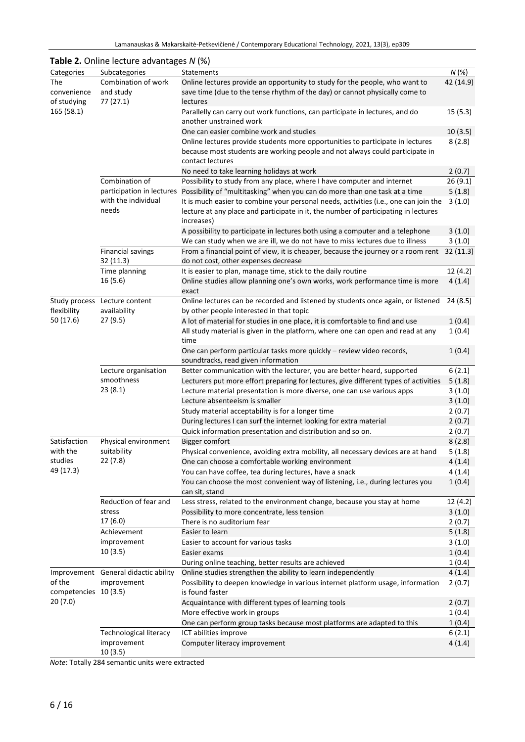|                                   | <b>Table 2.</b> Online lecture advantages N (%)     |                                                                                                                                                                                           |                  |
|-----------------------------------|-----------------------------------------------------|-------------------------------------------------------------------------------------------------------------------------------------------------------------------------------------------|------------------|
| Categories                        | Subcategories                                       | <b>Statements</b>                                                                                                                                                                         | N(%)             |
| The<br>convenience<br>of studying | Combination of work<br>and study<br>77 (27.1)       | Online lectures provide an opportunity to study for the people, who want to<br>save time (due to the tense rhythm of the day) or cannot physically come to<br>lectures                    | 42 (14.9)        |
| 165 (58.1)                        |                                                     | Parallelly can carry out work functions, can participate in lectures, and do<br>another unstrained work                                                                                   | 15(5.3)          |
|                                   |                                                     | One can easier combine work and studies                                                                                                                                                   | 10(3.5)          |
|                                   |                                                     | Online lectures provide students more opportunities to participate in lectures<br>because most students are working people and not always could participate in<br>contact lectures        | 8(2.8)           |
|                                   |                                                     | No need to take learning holidays at work                                                                                                                                                 | 2(0.7)           |
|                                   | Combination of                                      | Possibility to study from any place, where I have computer and internet                                                                                                                   | 26(9.1)          |
|                                   |                                                     | participation in lectures Possibility of "multitasking" when you can do more than one task at a time                                                                                      | 5(1.8)           |
|                                   | with the individual<br>needs                        | It is much easier to combine your personal needs, activities (i.e., one can join the<br>lecture at any place and participate in it, the number of participating in lectures<br>increases) | 3(1.0)           |
|                                   |                                                     | A possibility to participate in lectures both using a computer and a telephone                                                                                                            | 3(1.0)           |
|                                   |                                                     | We can study when we are ill, we do not have to miss lectures due to illness                                                                                                              | 3(1.0)           |
|                                   | <b>Financial savings</b><br>32 (11.3)               | From a financial point of view, it is cheaper, because the journey or a room rent<br>do not cost, other expenses decrease                                                                 | 32(11.3)         |
|                                   | Time planning                                       | It is easier to plan, manage time, stick to the daily routine                                                                                                                             | 12(4.2)          |
|                                   | 16 (5.6)                                            | Online studies allow planning one's own works, work performance time is more<br>exact                                                                                                     | 4(1.4)           |
| flexibility                       | Study process Lecture content<br>availability       | Online lectures can be recorded and listened by students once again, or listened<br>by other people interested in that topic                                                              | 24(8.5)          |
| 50 (17.6)                         | 27 (9.5)                                            | A lot of material for studies in one place, it is comfortable to find and use                                                                                                             | 1(0.4)           |
|                                   |                                                     | All study material is given in the platform, where one can open and read at any<br>time                                                                                                   | 1(0.4)           |
|                                   |                                                     | One can perform particular tasks more quickly - review video records,<br>soundtracks, read given information                                                                              | 1(0.4)           |
|                                   | Lecture organisation                                | Better communication with the lecturer, you are better heard, supported                                                                                                                   | 6(2.1)           |
|                                   | smoothness                                          | Lecturers put more effort preparing for lectures, give different types of activities                                                                                                      | 5(1.8)           |
|                                   | 23(8.1)                                             | Lecture material presentation is more diverse, one can use various apps                                                                                                                   | 3(1.0)           |
|                                   |                                                     | Lecture absenteeism is smaller                                                                                                                                                            | 3(1.0)           |
|                                   |                                                     | Study material acceptability is for a longer time                                                                                                                                         | 2(0.7)           |
|                                   |                                                     | During lectures I can surf the internet looking for extra material                                                                                                                        | 2(0.7)           |
| Satisfaction                      | Physical environment                                | Quick information presentation and distribution and so on.                                                                                                                                | 2(0.7)<br>8(2.8) |
| with the                          | suitability                                         | <b>Bigger comfort</b><br>Physical convenience, avoiding extra mobility, all necessary devices are at hand                                                                                 | 5(1.8)           |
| studies                           | 22 (7.8)                                            | One can choose a comfortable working environment                                                                                                                                          | 4(1.4)           |
| 49 (17.3)                         |                                                     | You can have coffee, tea during lectures, have a snack                                                                                                                                    | 4(1.4)           |
|                                   |                                                     | You can choose the most convenient way of listening, i.e., during lectures you<br>can sit, stand                                                                                          | 1(0.4)           |
|                                   | Reduction of fear and                               | Less stress, related to the environment change, because you stay at home                                                                                                                  | 12(4.2)          |
|                                   | stress                                              | Possibility to more concentrate, less tension                                                                                                                                             | 3(1.0)           |
|                                   | 17 (6.0)                                            | There is no auditorium fear                                                                                                                                                               | 2(0.7)           |
|                                   | Achievement                                         | Easier to learn                                                                                                                                                                           | 5(1.8)           |
|                                   | improvement<br>10 (3.5)                             | Easier to account for various tasks                                                                                                                                                       | 3(1.0)           |
|                                   |                                                     | Easier exams                                                                                                                                                                              | 1(0.4)           |
|                                   | Improvement General didactic ability<br>improvement | During online teaching, better results are achieved                                                                                                                                       | 1(0.4)           |
| of the                            |                                                     | Online studies strengthen the ability to learn independently<br>Possibility to deepen knowledge in various internet platform usage, information                                           | 4(1.4)<br>2(0.7) |
| competencies 10 (3.5)<br>20 (7.0) |                                                     | is found faster<br>Acquaintance with different types of learning tools                                                                                                                    | 2(0.7)           |
|                                   |                                                     | More effective work in groups                                                                                                                                                             | 1(0.4)           |
|                                   |                                                     | One can perform group tasks because most platforms are adapted to this                                                                                                                    | 1(0.4)           |
|                                   | <b>Technological literacy</b><br>improvement        | ICT abilities improve<br>Computer literacy improvement                                                                                                                                    | 6(2.1)<br>4(1.4) |
|                                   | 10 (3.5)                                            |                                                                                                                                                                                           |                  |

*Note*: Totally 284 semantic units were extracted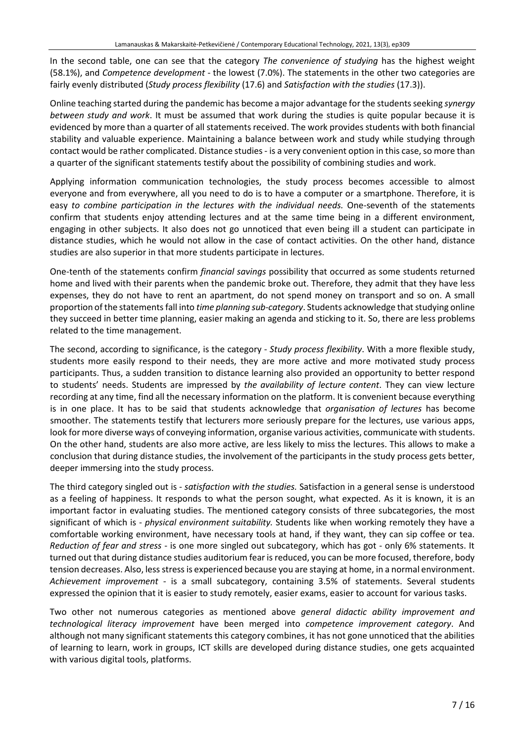In the second table, one can see that the category *The convenience of studying* has the highest weight (58.1%), and *Competence development* - the lowest (7.0%). The statements in the other two categories are fairly evenly distributed (*Study process flexibility* (17.6) and *Satisfaction with the studies* (17.3)).

Online teaching started during the pandemic has become a major advantage forthe studentsseeking *synergy between study and work*. It must be assumed that work during the studies is quite popular because it is evidenced by more than a quarter of all statements received. The work provides students with both financial stability and valuable experience. Maintaining a balance between work and study while studying through contact would be rather complicated. Distance studies - is a very convenient option in this case, so more than a quarter of the significant statements testify about the possibility of combining studies and work.

Applying information communication technologies, the study process becomes accessible to almost everyone and from everywhere, all you need to do is to have a computer or a smartphone. Therefore, it is easy *to combine participation in the lectures with the individual needs.* One-seventh of the statements confirm that students enjoy attending lectures and at the same time being in a different environment, engaging in other subjects. It also does not go unnoticed that even being ill a student can participate in distance studies, which he would not allow in the case of contact activities. On the other hand, distance studies are also superior in that more students participate in lectures.

One-tenth of the statements confirm *financial savings* possibility that occurred as some students returned home and lived with their parents when the pandemic broke out. Therefore, they admit that they have less expenses, they do not have to rent an apartment, do not spend money on transport and so on. A small proportion of the statementsfall into *time planning sub-category*. Students acknowledge thatstudying online they succeed in better time planning, easier making an agenda and sticking to it. So, there are less problems related to the time management.

The second, according to significance, is the category - *Study process flexibility*. With a more flexible study, students more easily respond to their needs, they are more active and more motivated study process participants. Thus, a sudden transition to distance learning also provided an opportunity to better respond to students' needs. Students are impressed by *the availability of lecture content*. They can view lecture recording at any time, find all the necessary information on the platform. It is convenient because everything is in one place. It has to be said that students acknowledge that *organisation of lectures* has become smoother. The statements testify that lecturers more seriously prepare for the lectures, use various apps, look for more diverse ways of conveying information, organise various activities, communicate with students. On the other hand, students are also more active, are less likely to miss the lectures. This allows to make a conclusion that during distance studies, the involvement of the participants in the study process gets better, deeper immersing into the study process.

The third category singled out is - *satisfaction with the studies.* Satisfaction in a general sense is understood as a feeling of happiness. It responds to what the person sought, what expected. As it is known, it is an important factor in evaluating studies. The mentioned category consists of three subcategories, the most significant of which is - *physical environment suitability.* Students like when working remotely they have a comfortable working environment, have necessary tools at hand, if they want, they can sip coffee or tea. *Reduction of fear and stress* - is one more singled out subcategory, which has got - only 6% statements. It turned out that during distance studies auditorium fear is reduced, you can be more focused, therefore, body tension decreases. Also, less stress is experienced because you are staying at home, in a normal environment. *Achievement improvement* - is a small subcategory, containing 3.5% of statements. Several students expressed the opinion that it is easier to study remotely, easier exams, easier to account for various tasks.

Two other not numerous categories as mentioned above *general didactic ability improvement and technological literacy improvement* have been merged into *competence improvement category*. And although not many significant statements this category combines, it has not gone unnoticed that the abilities of learning to learn, work in groups, ICT skills are developed during distance studies, one gets acquainted with various digital tools, platforms.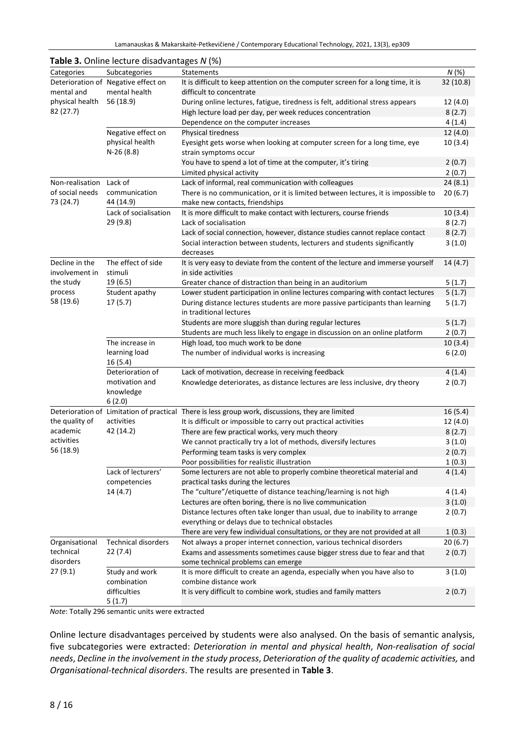| N(%)<br>Subcategories<br>Statements<br>Categories<br>Deterioration of Negative effect on<br>It is difficult to keep attention on the computer screen for a long time, it is<br>32 (10.8)<br>mental health<br>mental and<br>difficult to concentrate<br>physical health<br>56 (18.9)<br>During online lectures, fatigue, tiredness is felt, additional stress appears<br>12 (4.0)<br>82 (27.7)<br>High lecture load per day, per week reduces concentration<br>8(2.7)<br>Dependence on the computer increases<br>4(1.4)<br>Negative effect on<br>12(4.0)<br><b>Physical tiredness</b><br>physical health<br>Eyesight gets worse when looking at computer screen for a long time, eye<br>10(3.4)<br>$N-26(8.8)$<br>strain symptoms occur<br>You have to spend a lot of time at the computer, it's tiring<br>2(0.7)<br>2(0.7)<br>Limited physical activity<br>Non-realisation<br>Lack of<br>Lack of informal, real communication with colleagues<br>24(8.1)<br>of social needs<br>communication<br>There is no communication, or it is limited between lectures, it is impossible to<br>20(6.7)<br>73 (24.7)<br>44 (14.9)<br>make new contacts, friendships<br>Lack of socialisation<br>It is more difficult to make contact with lecturers, course friends<br>10(3.4)<br>29 (9.8)<br>Lack of socialisation<br>8(2.7)<br>8(2.7)<br>Lack of social connection, however, distance studies cannot replace contact<br>Social interaction between students, lecturers and students significantly<br>3(1.0)<br>decreases<br>The effect of side<br>Decline in the<br>It is very easy to deviate from the content of the lecture and immerse yourself<br>14(4.7)<br>involvement in<br>stimuli<br>in side activities<br>19 (6.5)<br>the study<br>5(1.7)<br>Greater chance of distraction than being in an auditorium<br>process<br>5(1.7)<br>Student apathy<br>Lower student participation in online lectures comparing with contact lectures<br>58 (19.6)<br>17(5.7)<br>During distance lectures students are more passive participants than learning<br>5(1.7)<br>in traditional lectures<br>5(1.7)<br>Students are more sluggish than during regular lectures<br>Students are much less likely to engage in discussion on an online platform<br>2(0.7)<br>10(3.4)<br>The increase in<br>High load, too much work to be done<br>learning load<br>The number of individual works is increasing<br>6(2.0)<br>16 (5.4)<br>Deterioration of<br>4(1.4)<br>Lack of motivation, decrease in receiving feedback<br>motivation and<br>Knowledge deteriorates, as distance lectures are less inclusive, dry theory<br>2(0.7)<br>knowledge<br>6(2.0)<br>Deterioration of Limitation of practical There is less group work, discussions, they are limited<br>16(5.4)<br>the quality of<br>activities<br>It is difficult or impossible to carry out practical activities<br>12 (4.0)<br>42 (14.2)<br>academic<br>There are few practical works, very much theory<br>8(2.7)<br>activities<br>We cannot practically try a lot of methods, diversify lectures<br>3(1.0)<br>56 (18.9)<br>Performing team tasks is very complex<br>2(0.7)<br>Poor possibilities for realistic illustration<br>1(0.3)<br>Lack of lecturers'<br>Some lecturers are not able to properly combine theoretical material and<br>4(1.4)<br>competencies<br>practical tasks during the lectures<br>14 (4.7)<br>The "culture"/etiquette of distance teaching/learning is not high<br>4(1.4)<br>Lectures are often boring, there is no live communication<br>3(1.0)<br>Distance lectures often take longer than usual, due to inability to arrange<br>2(0.7)<br>everything or delays due to technical obstacles<br>There are very few individual consultations, or they are not provided at all<br>1(0.3)<br><b>Technical disorders</b><br>Organisational<br>Not always a proper internet connection, various technical disorders<br>20(6.7)<br>technical<br>22(7.4)<br>Exams and assessments sometimes cause bigger stress due to fear and that<br>2(0.7)<br>disorders<br>some technical problems can emerge<br>27(9.1)<br>It is more difficult to create an agenda, especially when you have also to<br>3(1.0)<br>Study and work<br>combination<br>combine distance work<br>difficulties<br>It is very difficult to combine work, studies and family matters<br>2(0.7)<br>5(1.7) |  | <b>Table 3.</b> Offinite recture disadvalitages <i>IV</i> (70) |  |
|------------------------------------------------------------------------------------------------------------------------------------------------------------------------------------------------------------------------------------------------------------------------------------------------------------------------------------------------------------------------------------------------------------------------------------------------------------------------------------------------------------------------------------------------------------------------------------------------------------------------------------------------------------------------------------------------------------------------------------------------------------------------------------------------------------------------------------------------------------------------------------------------------------------------------------------------------------------------------------------------------------------------------------------------------------------------------------------------------------------------------------------------------------------------------------------------------------------------------------------------------------------------------------------------------------------------------------------------------------------------------------------------------------------------------------------------------------------------------------------------------------------------------------------------------------------------------------------------------------------------------------------------------------------------------------------------------------------------------------------------------------------------------------------------------------------------------------------------------------------------------------------------------------------------------------------------------------------------------------------------------------------------------------------------------------------------------------------------------------------------------------------------------------------------------------------------------------------------------------------------------------------------------------------------------------------------------------------------------------------------------------------------------------------------------------------------------------------------------------------------------------------------------------------------------------------------------------------------------------------------------------------------------------------------------------------------------------------------------------------------------------------------------------------------------------------------------------------------------------------------------------------------------------------------------------------------------------------------------------------------------------------------------------------------------------------------------------------------------------------------------------------------------------------------------------------------------------------------------------------------------------------------------------------------------------------------------------------------------------------------------------------------------------------------------------------------------------------------------------------------------------------------------------------------------------------------------------------------------------------------------------------------------------------------------------------------------------------------------------------------------------------------------------------------------------------------------------------------------------------------------------------------------------------------------------------------------------------------------------------------------------------------------------------------------------------------------------------------------------------------------------------------------------------------------------------------------------------------------------------------------------------------------------------------------------------------------|--|----------------------------------------------------------------|--|
|                                                                                                                                                                                                                                                                                                                                                                                                                                                                                                                                                                                                                                                                                                                                                                                                                                                                                                                                                                                                                                                                                                                                                                                                                                                                                                                                                                                                                                                                                                                                                                                                                                                                                                                                                                                                                                                                                                                                                                                                                                                                                                                                                                                                                                                                                                                                                                                                                                                                                                                                                                                                                                                                                                                                                                                                                                                                                                                                                                                                                                                                                                                                                                                                                                                                                                                                                                                                                                                                                                                                                                                                                                                                                                                                                                                                                                                                                                                                                                                                                                                                                                                                                                                                                                                                                                                              |  |                                                                |  |
|                                                                                                                                                                                                                                                                                                                                                                                                                                                                                                                                                                                                                                                                                                                                                                                                                                                                                                                                                                                                                                                                                                                                                                                                                                                                                                                                                                                                                                                                                                                                                                                                                                                                                                                                                                                                                                                                                                                                                                                                                                                                                                                                                                                                                                                                                                                                                                                                                                                                                                                                                                                                                                                                                                                                                                                                                                                                                                                                                                                                                                                                                                                                                                                                                                                                                                                                                                                                                                                                                                                                                                                                                                                                                                                                                                                                                                                                                                                                                                                                                                                                                                                                                                                                                                                                                                                              |  |                                                                |  |
|                                                                                                                                                                                                                                                                                                                                                                                                                                                                                                                                                                                                                                                                                                                                                                                                                                                                                                                                                                                                                                                                                                                                                                                                                                                                                                                                                                                                                                                                                                                                                                                                                                                                                                                                                                                                                                                                                                                                                                                                                                                                                                                                                                                                                                                                                                                                                                                                                                                                                                                                                                                                                                                                                                                                                                                                                                                                                                                                                                                                                                                                                                                                                                                                                                                                                                                                                                                                                                                                                                                                                                                                                                                                                                                                                                                                                                                                                                                                                                                                                                                                                                                                                                                                                                                                                                                              |  |                                                                |  |
|                                                                                                                                                                                                                                                                                                                                                                                                                                                                                                                                                                                                                                                                                                                                                                                                                                                                                                                                                                                                                                                                                                                                                                                                                                                                                                                                                                                                                                                                                                                                                                                                                                                                                                                                                                                                                                                                                                                                                                                                                                                                                                                                                                                                                                                                                                                                                                                                                                                                                                                                                                                                                                                                                                                                                                                                                                                                                                                                                                                                                                                                                                                                                                                                                                                                                                                                                                                                                                                                                                                                                                                                                                                                                                                                                                                                                                                                                                                                                                                                                                                                                                                                                                                                                                                                                                                              |  |                                                                |  |
|                                                                                                                                                                                                                                                                                                                                                                                                                                                                                                                                                                                                                                                                                                                                                                                                                                                                                                                                                                                                                                                                                                                                                                                                                                                                                                                                                                                                                                                                                                                                                                                                                                                                                                                                                                                                                                                                                                                                                                                                                                                                                                                                                                                                                                                                                                                                                                                                                                                                                                                                                                                                                                                                                                                                                                                                                                                                                                                                                                                                                                                                                                                                                                                                                                                                                                                                                                                                                                                                                                                                                                                                                                                                                                                                                                                                                                                                                                                                                                                                                                                                                                                                                                                                                                                                                                                              |  |                                                                |  |
|                                                                                                                                                                                                                                                                                                                                                                                                                                                                                                                                                                                                                                                                                                                                                                                                                                                                                                                                                                                                                                                                                                                                                                                                                                                                                                                                                                                                                                                                                                                                                                                                                                                                                                                                                                                                                                                                                                                                                                                                                                                                                                                                                                                                                                                                                                                                                                                                                                                                                                                                                                                                                                                                                                                                                                                                                                                                                                                                                                                                                                                                                                                                                                                                                                                                                                                                                                                                                                                                                                                                                                                                                                                                                                                                                                                                                                                                                                                                                                                                                                                                                                                                                                                                                                                                                                                              |  |                                                                |  |
|                                                                                                                                                                                                                                                                                                                                                                                                                                                                                                                                                                                                                                                                                                                                                                                                                                                                                                                                                                                                                                                                                                                                                                                                                                                                                                                                                                                                                                                                                                                                                                                                                                                                                                                                                                                                                                                                                                                                                                                                                                                                                                                                                                                                                                                                                                                                                                                                                                                                                                                                                                                                                                                                                                                                                                                                                                                                                                                                                                                                                                                                                                                                                                                                                                                                                                                                                                                                                                                                                                                                                                                                                                                                                                                                                                                                                                                                                                                                                                                                                                                                                                                                                                                                                                                                                                                              |  |                                                                |  |
|                                                                                                                                                                                                                                                                                                                                                                                                                                                                                                                                                                                                                                                                                                                                                                                                                                                                                                                                                                                                                                                                                                                                                                                                                                                                                                                                                                                                                                                                                                                                                                                                                                                                                                                                                                                                                                                                                                                                                                                                                                                                                                                                                                                                                                                                                                                                                                                                                                                                                                                                                                                                                                                                                                                                                                                                                                                                                                                                                                                                                                                                                                                                                                                                                                                                                                                                                                                                                                                                                                                                                                                                                                                                                                                                                                                                                                                                                                                                                                                                                                                                                                                                                                                                                                                                                                                              |  |                                                                |  |
|                                                                                                                                                                                                                                                                                                                                                                                                                                                                                                                                                                                                                                                                                                                                                                                                                                                                                                                                                                                                                                                                                                                                                                                                                                                                                                                                                                                                                                                                                                                                                                                                                                                                                                                                                                                                                                                                                                                                                                                                                                                                                                                                                                                                                                                                                                                                                                                                                                                                                                                                                                                                                                                                                                                                                                                                                                                                                                                                                                                                                                                                                                                                                                                                                                                                                                                                                                                                                                                                                                                                                                                                                                                                                                                                                                                                                                                                                                                                                                                                                                                                                                                                                                                                                                                                                                                              |  |                                                                |  |
|                                                                                                                                                                                                                                                                                                                                                                                                                                                                                                                                                                                                                                                                                                                                                                                                                                                                                                                                                                                                                                                                                                                                                                                                                                                                                                                                                                                                                                                                                                                                                                                                                                                                                                                                                                                                                                                                                                                                                                                                                                                                                                                                                                                                                                                                                                                                                                                                                                                                                                                                                                                                                                                                                                                                                                                                                                                                                                                                                                                                                                                                                                                                                                                                                                                                                                                                                                                                                                                                                                                                                                                                                                                                                                                                                                                                                                                                                                                                                                                                                                                                                                                                                                                                                                                                                                                              |  |                                                                |  |
|                                                                                                                                                                                                                                                                                                                                                                                                                                                                                                                                                                                                                                                                                                                                                                                                                                                                                                                                                                                                                                                                                                                                                                                                                                                                                                                                                                                                                                                                                                                                                                                                                                                                                                                                                                                                                                                                                                                                                                                                                                                                                                                                                                                                                                                                                                                                                                                                                                                                                                                                                                                                                                                                                                                                                                                                                                                                                                                                                                                                                                                                                                                                                                                                                                                                                                                                                                                                                                                                                                                                                                                                                                                                                                                                                                                                                                                                                                                                                                                                                                                                                                                                                                                                                                                                                                                              |  |                                                                |  |
|                                                                                                                                                                                                                                                                                                                                                                                                                                                                                                                                                                                                                                                                                                                                                                                                                                                                                                                                                                                                                                                                                                                                                                                                                                                                                                                                                                                                                                                                                                                                                                                                                                                                                                                                                                                                                                                                                                                                                                                                                                                                                                                                                                                                                                                                                                                                                                                                                                                                                                                                                                                                                                                                                                                                                                                                                                                                                                                                                                                                                                                                                                                                                                                                                                                                                                                                                                                                                                                                                                                                                                                                                                                                                                                                                                                                                                                                                                                                                                                                                                                                                                                                                                                                                                                                                                                              |  |                                                                |  |
|                                                                                                                                                                                                                                                                                                                                                                                                                                                                                                                                                                                                                                                                                                                                                                                                                                                                                                                                                                                                                                                                                                                                                                                                                                                                                                                                                                                                                                                                                                                                                                                                                                                                                                                                                                                                                                                                                                                                                                                                                                                                                                                                                                                                                                                                                                                                                                                                                                                                                                                                                                                                                                                                                                                                                                                                                                                                                                                                                                                                                                                                                                                                                                                                                                                                                                                                                                                                                                                                                                                                                                                                                                                                                                                                                                                                                                                                                                                                                                                                                                                                                                                                                                                                                                                                                                                              |  |                                                                |  |
|                                                                                                                                                                                                                                                                                                                                                                                                                                                                                                                                                                                                                                                                                                                                                                                                                                                                                                                                                                                                                                                                                                                                                                                                                                                                                                                                                                                                                                                                                                                                                                                                                                                                                                                                                                                                                                                                                                                                                                                                                                                                                                                                                                                                                                                                                                                                                                                                                                                                                                                                                                                                                                                                                                                                                                                                                                                                                                                                                                                                                                                                                                                                                                                                                                                                                                                                                                                                                                                                                                                                                                                                                                                                                                                                                                                                                                                                                                                                                                                                                                                                                                                                                                                                                                                                                                                              |  |                                                                |  |
|                                                                                                                                                                                                                                                                                                                                                                                                                                                                                                                                                                                                                                                                                                                                                                                                                                                                                                                                                                                                                                                                                                                                                                                                                                                                                                                                                                                                                                                                                                                                                                                                                                                                                                                                                                                                                                                                                                                                                                                                                                                                                                                                                                                                                                                                                                                                                                                                                                                                                                                                                                                                                                                                                                                                                                                                                                                                                                                                                                                                                                                                                                                                                                                                                                                                                                                                                                                                                                                                                                                                                                                                                                                                                                                                                                                                                                                                                                                                                                                                                                                                                                                                                                                                                                                                                                                              |  |                                                                |  |
|                                                                                                                                                                                                                                                                                                                                                                                                                                                                                                                                                                                                                                                                                                                                                                                                                                                                                                                                                                                                                                                                                                                                                                                                                                                                                                                                                                                                                                                                                                                                                                                                                                                                                                                                                                                                                                                                                                                                                                                                                                                                                                                                                                                                                                                                                                                                                                                                                                                                                                                                                                                                                                                                                                                                                                                                                                                                                                                                                                                                                                                                                                                                                                                                                                                                                                                                                                                                                                                                                                                                                                                                                                                                                                                                                                                                                                                                                                                                                                                                                                                                                                                                                                                                                                                                                                                              |  |                                                                |  |
|                                                                                                                                                                                                                                                                                                                                                                                                                                                                                                                                                                                                                                                                                                                                                                                                                                                                                                                                                                                                                                                                                                                                                                                                                                                                                                                                                                                                                                                                                                                                                                                                                                                                                                                                                                                                                                                                                                                                                                                                                                                                                                                                                                                                                                                                                                                                                                                                                                                                                                                                                                                                                                                                                                                                                                                                                                                                                                                                                                                                                                                                                                                                                                                                                                                                                                                                                                                                                                                                                                                                                                                                                                                                                                                                                                                                                                                                                                                                                                                                                                                                                                                                                                                                                                                                                                                              |  |                                                                |  |
|                                                                                                                                                                                                                                                                                                                                                                                                                                                                                                                                                                                                                                                                                                                                                                                                                                                                                                                                                                                                                                                                                                                                                                                                                                                                                                                                                                                                                                                                                                                                                                                                                                                                                                                                                                                                                                                                                                                                                                                                                                                                                                                                                                                                                                                                                                                                                                                                                                                                                                                                                                                                                                                                                                                                                                                                                                                                                                                                                                                                                                                                                                                                                                                                                                                                                                                                                                                                                                                                                                                                                                                                                                                                                                                                                                                                                                                                                                                                                                                                                                                                                                                                                                                                                                                                                                                              |  |                                                                |  |
|                                                                                                                                                                                                                                                                                                                                                                                                                                                                                                                                                                                                                                                                                                                                                                                                                                                                                                                                                                                                                                                                                                                                                                                                                                                                                                                                                                                                                                                                                                                                                                                                                                                                                                                                                                                                                                                                                                                                                                                                                                                                                                                                                                                                                                                                                                                                                                                                                                                                                                                                                                                                                                                                                                                                                                                                                                                                                                                                                                                                                                                                                                                                                                                                                                                                                                                                                                                                                                                                                                                                                                                                                                                                                                                                                                                                                                                                                                                                                                                                                                                                                                                                                                                                                                                                                                                              |  |                                                                |  |
|                                                                                                                                                                                                                                                                                                                                                                                                                                                                                                                                                                                                                                                                                                                                                                                                                                                                                                                                                                                                                                                                                                                                                                                                                                                                                                                                                                                                                                                                                                                                                                                                                                                                                                                                                                                                                                                                                                                                                                                                                                                                                                                                                                                                                                                                                                                                                                                                                                                                                                                                                                                                                                                                                                                                                                                                                                                                                                                                                                                                                                                                                                                                                                                                                                                                                                                                                                                                                                                                                                                                                                                                                                                                                                                                                                                                                                                                                                                                                                                                                                                                                                                                                                                                                                                                                                                              |  |                                                                |  |
|                                                                                                                                                                                                                                                                                                                                                                                                                                                                                                                                                                                                                                                                                                                                                                                                                                                                                                                                                                                                                                                                                                                                                                                                                                                                                                                                                                                                                                                                                                                                                                                                                                                                                                                                                                                                                                                                                                                                                                                                                                                                                                                                                                                                                                                                                                                                                                                                                                                                                                                                                                                                                                                                                                                                                                                                                                                                                                                                                                                                                                                                                                                                                                                                                                                                                                                                                                                                                                                                                                                                                                                                                                                                                                                                                                                                                                                                                                                                                                                                                                                                                                                                                                                                                                                                                                                              |  |                                                                |  |
|                                                                                                                                                                                                                                                                                                                                                                                                                                                                                                                                                                                                                                                                                                                                                                                                                                                                                                                                                                                                                                                                                                                                                                                                                                                                                                                                                                                                                                                                                                                                                                                                                                                                                                                                                                                                                                                                                                                                                                                                                                                                                                                                                                                                                                                                                                                                                                                                                                                                                                                                                                                                                                                                                                                                                                                                                                                                                                                                                                                                                                                                                                                                                                                                                                                                                                                                                                                                                                                                                                                                                                                                                                                                                                                                                                                                                                                                                                                                                                                                                                                                                                                                                                                                                                                                                                                              |  |                                                                |  |
|                                                                                                                                                                                                                                                                                                                                                                                                                                                                                                                                                                                                                                                                                                                                                                                                                                                                                                                                                                                                                                                                                                                                                                                                                                                                                                                                                                                                                                                                                                                                                                                                                                                                                                                                                                                                                                                                                                                                                                                                                                                                                                                                                                                                                                                                                                                                                                                                                                                                                                                                                                                                                                                                                                                                                                                                                                                                                                                                                                                                                                                                                                                                                                                                                                                                                                                                                                                                                                                                                                                                                                                                                                                                                                                                                                                                                                                                                                                                                                                                                                                                                                                                                                                                                                                                                                                              |  |                                                                |  |
|                                                                                                                                                                                                                                                                                                                                                                                                                                                                                                                                                                                                                                                                                                                                                                                                                                                                                                                                                                                                                                                                                                                                                                                                                                                                                                                                                                                                                                                                                                                                                                                                                                                                                                                                                                                                                                                                                                                                                                                                                                                                                                                                                                                                                                                                                                                                                                                                                                                                                                                                                                                                                                                                                                                                                                                                                                                                                                                                                                                                                                                                                                                                                                                                                                                                                                                                                                                                                                                                                                                                                                                                                                                                                                                                                                                                                                                                                                                                                                                                                                                                                                                                                                                                                                                                                                                              |  |                                                                |  |
|                                                                                                                                                                                                                                                                                                                                                                                                                                                                                                                                                                                                                                                                                                                                                                                                                                                                                                                                                                                                                                                                                                                                                                                                                                                                                                                                                                                                                                                                                                                                                                                                                                                                                                                                                                                                                                                                                                                                                                                                                                                                                                                                                                                                                                                                                                                                                                                                                                                                                                                                                                                                                                                                                                                                                                                                                                                                                                                                                                                                                                                                                                                                                                                                                                                                                                                                                                                                                                                                                                                                                                                                                                                                                                                                                                                                                                                                                                                                                                                                                                                                                                                                                                                                                                                                                                                              |  |                                                                |  |
|                                                                                                                                                                                                                                                                                                                                                                                                                                                                                                                                                                                                                                                                                                                                                                                                                                                                                                                                                                                                                                                                                                                                                                                                                                                                                                                                                                                                                                                                                                                                                                                                                                                                                                                                                                                                                                                                                                                                                                                                                                                                                                                                                                                                                                                                                                                                                                                                                                                                                                                                                                                                                                                                                                                                                                                                                                                                                                                                                                                                                                                                                                                                                                                                                                                                                                                                                                                                                                                                                                                                                                                                                                                                                                                                                                                                                                                                                                                                                                                                                                                                                                                                                                                                                                                                                                                              |  |                                                                |  |
|                                                                                                                                                                                                                                                                                                                                                                                                                                                                                                                                                                                                                                                                                                                                                                                                                                                                                                                                                                                                                                                                                                                                                                                                                                                                                                                                                                                                                                                                                                                                                                                                                                                                                                                                                                                                                                                                                                                                                                                                                                                                                                                                                                                                                                                                                                                                                                                                                                                                                                                                                                                                                                                                                                                                                                                                                                                                                                                                                                                                                                                                                                                                                                                                                                                                                                                                                                                                                                                                                                                                                                                                                                                                                                                                                                                                                                                                                                                                                                                                                                                                                                                                                                                                                                                                                                                              |  |                                                                |  |
|                                                                                                                                                                                                                                                                                                                                                                                                                                                                                                                                                                                                                                                                                                                                                                                                                                                                                                                                                                                                                                                                                                                                                                                                                                                                                                                                                                                                                                                                                                                                                                                                                                                                                                                                                                                                                                                                                                                                                                                                                                                                                                                                                                                                                                                                                                                                                                                                                                                                                                                                                                                                                                                                                                                                                                                                                                                                                                                                                                                                                                                                                                                                                                                                                                                                                                                                                                                                                                                                                                                                                                                                                                                                                                                                                                                                                                                                                                                                                                                                                                                                                                                                                                                                                                                                                                                              |  |                                                                |  |
|                                                                                                                                                                                                                                                                                                                                                                                                                                                                                                                                                                                                                                                                                                                                                                                                                                                                                                                                                                                                                                                                                                                                                                                                                                                                                                                                                                                                                                                                                                                                                                                                                                                                                                                                                                                                                                                                                                                                                                                                                                                                                                                                                                                                                                                                                                                                                                                                                                                                                                                                                                                                                                                                                                                                                                                                                                                                                                                                                                                                                                                                                                                                                                                                                                                                                                                                                                                                                                                                                                                                                                                                                                                                                                                                                                                                                                                                                                                                                                                                                                                                                                                                                                                                                                                                                                                              |  |                                                                |  |
|                                                                                                                                                                                                                                                                                                                                                                                                                                                                                                                                                                                                                                                                                                                                                                                                                                                                                                                                                                                                                                                                                                                                                                                                                                                                                                                                                                                                                                                                                                                                                                                                                                                                                                                                                                                                                                                                                                                                                                                                                                                                                                                                                                                                                                                                                                                                                                                                                                                                                                                                                                                                                                                                                                                                                                                                                                                                                                                                                                                                                                                                                                                                                                                                                                                                                                                                                                                                                                                                                                                                                                                                                                                                                                                                                                                                                                                                                                                                                                                                                                                                                                                                                                                                                                                                                                                              |  |                                                                |  |
|                                                                                                                                                                                                                                                                                                                                                                                                                                                                                                                                                                                                                                                                                                                                                                                                                                                                                                                                                                                                                                                                                                                                                                                                                                                                                                                                                                                                                                                                                                                                                                                                                                                                                                                                                                                                                                                                                                                                                                                                                                                                                                                                                                                                                                                                                                                                                                                                                                                                                                                                                                                                                                                                                                                                                                                                                                                                                                                                                                                                                                                                                                                                                                                                                                                                                                                                                                                                                                                                                                                                                                                                                                                                                                                                                                                                                                                                                                                                                                                                                                                                                                                                                                                                                                                                                                                              |  |                                                                |  |
|                                                                                                                                                                                                                                                                                                                                                                                                                                                                                                                                                                                                                                                                                                                                                                                                                                                                                                                                                                                                                                                                                                                                                                                                                                                                                                                                                                                                                                                                                                                                                                                                                                                                                                                                                                                                                                                                                                                                                                                                                                                                                                                                                                                                                                                                                                                                                                                                                                                                                                                                                                                                                                                                                                                                                                                                                                                                                                                                                                                                                                                                                                                                                                                                                                                                                                                                                                                                                                                                                                                                                                                                                                                                                                                                                                                                                                                                                                                                                                                                                                                                                                                                                                                                                                                                                                                              |  |                                                                |  |
|                                                                                                                                                                                                                                                                                                                                                                                                                                                                                                                                                                                                                                                                                                                                                                                                                                                                                                                                                                                                                                                                                                                                                                                                                                                                                                                                                                                                                                                                                                                                                                                                                                                                                                                                                                                                                                                                                                                                                                                                                                                                                                                                                                                                                                                                                                                                                                                                                                                                                                                                                                                                                                                                                                                                                                                                                                                                                                                                                                                                                                                                                                                                                                                                                                                                                                                                                                                                                                                                                                                                                                                                                                                                                                                                                                                                                                                                                                                                                                                                                                                                                                                                                                                                                                                                                                                              |  |                                                                |  |
|                                                                                                                                                                                                                                                                                                                                                                                                                                                                                                                                                                                                                                                                                                                                                                                                                                                                                                                                                                                                                                                                                                                                                                                                                                                                                                                                                                                                                                                                                                                                                                                                                                                                                                                                                                                                                                                                                                                                                                                                                                                                                                                                                                                                                                                                                                                                                                                                                                                                                                                                                                                                                                                                                                                                                                                                                                                                                                                                                                                                                                                                                                                                                                                                                                                                                                                                                                                                                                                                                                                                                                                                                                                                                                                                                                                                                                                                                                                                                                                                                                                                                                                                                                                                                                                                                                                              |  |                                                                |  |
|                                                                                                                                                                                                                                                                                                                                                                                                                                                                                                                                                                                                                                                                                                                                                                                                                                                                                                                                                                                                                                                                                                                                                                                                                                                                                                                                                                                                                                                                                                                                                                                                                                                                                                                                                                                                                                                                                                                                                                                                                                                                                                                                                                                                                                                                                                                                                                                                                                                                                                                                                                                                                                                                                                                                                                                                                                                                                                                                                                                                                                                                                                                                                                                                                                                                                                                                                                                                                                                                                                                                                                                                                                                                                                                                                                                                                                                                                                                                                                                                                                                                                                                                                                                                                                                                                                                              |  |                                                                |  |
|                                                                                                                                                                                                                                                                                                                                                                                                                                                                                                                                                                                                                                                                                                                                                                                                                                                                                                                                                                                                                                                                                                                                                                                                                                                                                                                                                                                                                                                                                                                                                                                                                                                                                                                                                                                                                                                                                                                                                                                                                                                                                                                                                                                                                                                                                                                                                                                                                                                                                                                                                                                                                                                                                                                                                                                                                                                                                                                                                                                                                                                                                                                                                                                                                                                                                                                                                                                                                                                                                                                                                                                                                                                                                                                                                                                                                                                                                                                                                                                                                                                                                                                                                                                                                                                                                                                              |  |                                                                |  |
|                                                                                                                                                                                                                                                                                                                                                                                                                                                                                                                                                                                                                                                                                                                                                                                                                                                                                                                                                                                                                                                                                                                                                                                                                                                                                                                                                                                                                                                                                                                                                                                                                                                                                                                                                                                                                                                                                                                                                                                                                                                                                                                                                                                                                                                                                                                                                                                                                                                                                                                                                                                                                                                                                                                                                                                                                                                                                                                                                                                                                                                                                                                                                                                                                                                                                                                                                                                                                                                                                                                                                                                                                                                                                                                                                                                                                                                                                                                                                                                                                                                                                                                                                                                                                                                                                                                              |  |                                                                |  |
|                                                                                                                                                                                                                                                                                                                                                                                                                                                                                                                                                                                                                                                                                                                                                                                                                                                                                                                                                                                                                                                                                                                                                                                                                                                                                                                                                                                                                                                                                                                                                                                                                                                                                                                                                                                                                                                                                                                                                                                                                                                                                                                                                                                                                                                                                                                                                                                                                                                                                                                                                                                                                                                                                                                                                                                                                                                                                                                                                                                                                                                                                                                                                                                                                                                                                                                                                                                                                                                                                                                                                                                                                                                                                                                                                                                                                                                                                                                                                                                                                                                                                                                                                                                                                                                                                                                              |  |                                                                |  |
|                                                                                                                                                                                                                                                                                                                                                                                                                                                                                                                                                                                                                                                                                                                                                                                                                                                                                                                                                                                                                                                                                                                                                                                                                                                                                                                                                                                                                                                                                                                                                                                                                                                                                                                                                                                                                                                                                                                                                                                                                                                                                                                                                                                                                                                                                                                                                                                                                                                                                                                                                                                                                                                                                                                                                                                                                                                                                                                                                                                                                                                                                                                                                                                                                                                                                                                                                                                                                                                                                                                                                                                                                                                                                                                                                                                                                                                                                                                                                                                                                                                                                                                                                                                                                                                                                                                              |  |                                                                |  |
|                                                                                                                                                                                                                                                                                                                                                                                                                                                                                                                                                                                                                                                                                                                                                                                                                                                                                                                                                                                                                                                                                                                                                                                                                                                                                                                                                                                                                                                                                                                                                                                                                                                                                                                                                                                                                                                                                                                                                                                                                                                                                                                                                                                                                                                                                                                                                                                                                                                                                                                                                                                                                                                                                                                                                                                                                                                                                                                                                                                                                                                                                                                                                                                                                                                                                                                                                                                                                                                                                                                                                                                                                                                                                                                                                                                                                                                                                                                                                                                                                                                                                                                                                                                                                                                                                                                              |  |                                                                |  |
|                                                                                                                                                                                                                                                                                                                                                                                                                                                                                                                                                                                                                                                                                                                                                                                                                                                                                                                                                                                                                                                                                                                                                                                                                                                                                                                                                                                                                                                                                                                                                                                                                                                                                                                                                                                                                                                                                                                                                                                                                                                                                                                                                                                                                                                                                                                                                                                                                                                                                                                                                                                                                                                                                                                                                                                                                                                                                                                                                                                                                                                                                                                                                                                                                                                                                                                                                                                                                                                                                                                                                                                                                                                                                                                                                                                                                                                                                                                                                                                                                                                                                                                                                                                                                                                                                                                              |  |                                                                |  |
|                                                                                                                                                                                                                                                                                                                                                                                                                                                                                                                                                                                                                                                                                                                                                                                                                                                                                                                                                                                                                                                                                                                                                                                                                                                                                                                                                                                                                                                                                                                                                                                                                                                                                                                                                                                                                                                                                                                                                                                                                                                                                                                                                                                                                                                                                                                                                                                                                                                                                                                                                                                                                                                                                                                                                                                                                                                                                                                                                                                                                                                                                                                                                                                                                                                                                                                                                                                                                                                                                                                                                                                                                                                                                                                                                                                                                                                                                                                                                                                                                                                                                                                                                                                                                                                                                                                              |  |                                                                |  |
|                                                                                                                                                                                                                                                                                                                                                                                                                                                                                                                                                                                                                                                                                                                                                                                                                                                                                                                                                                                                                                                                                                                                                                                                                                                                                                                                                                                                                                                                                                                                                                                                                                                                                                                                                                                                                                                                                                                                                                                                                                                                                                                                                                                                                                                                                                                                                                                                                                                                                                                                                                                                                                                                                                                                                                                                                                                                                                                                                                                                                                                                                                                                                                                                                                                                                                                                                                                                                                                                                                                                                                                                                                                                                                                                                                                                                                                                                                                                                                                                                                                                                                                                                                                                                                                                                                                              |  |                                                                |  |
|                                                                                                                                                                                                                                                                                                                                                                                                                                                                                                                                                                                                                                                                                                                                                                                                                                                                                                                                                                                                                                                                                                                                                                                                                                                                                                                                                                                                                                                                                                                                                                                                                                                                                                                                                                                                                                                                                                                                                                                                                                                                                                                                                                                                                                                                                                                                                                                                                                                                                                                                                                                                                                                                                                                                                                                                                                                                                                                                                                                                                                                                                                                                                                                                                                                                                                                                                                                                                                                                                                                                                                                                                                                                                                                                                                                                                                                                                                                                                                                                                                                                                                                                                                                                                                                                                                                              |  |                                                                |  |
|                                                                                                                                                                                                                                                                                                                                                                                                                                                                                                                                                                                                                                                                                                                                                                                                                                                                                                                                                                                                                                                                                                                                                                                                                                                                                                                                                                                                                                                                                                                                                                                                                                                                                                                                                                                                                                                                                                                                                                                                                                                                                                                                                                                                                                                                                                                                                                                                                                                                                                                                                                                                                                                                                                                                                                                                                                                                                                                                                                                                                                                                                                                                                                                                                                                                                                                                                                                                                                                                                                                                                                                                                                                                                                                                                                                                                                                                                                                                                                                                                                                                                                                                                                                                                                                                                                                              |  |                                                                |  |
|                                                                                                                                                                                                                                                                                                                                                                                                                                                                                                                                                                                                                                                                                                                                                                                                                                                                                                                                                                                                                                                                                                                                                                                                                                                                                                                                                                                                                                                                                                                                                                                                                                                                                                                                                                                                                                                                                                                                                                                                                                                                                                                                                                                                                                                                                                                                                                                                                                                                                                                                                                                                                                                                                                                                                                                                                                                                                                                                                                                                                                                                                                                                                                                                                                                                                                                                                                                                                                                                                                                                                                                                                                                                                                                                                                                                                                                                                                                                                                                                                                                                                                                                                                                                                                                                                                                              |  |                                                                |  |
|                                                                                                                                                                                                                                                                                                                                                                                                                                                                                                                                                                                                                                                                                                                                                                                                                                                                                                                                                                                                                                                                                                                                                                                                                                                                                                                                                                                                                                                                                                                                                                                                                                                                                                                                                                                                                                                                                                                                                                                                                                                                                                                                                                                                                                                                                                                                                                                                                                                                                                                                                                                                                                                                                                                                                                                                                                                                                                                                                                                                                                                                                                                                                                                                                                                                                                                                                                                                                                                                                                                                                                                                                                                                                                                                                                                                                                                                                                                                                                                                                                                                                                                                                                                                                                                                                                                              |  |                                                                |  |
|                                                                                                                                                                                                                                                                                                                                                                                                                                                                                                                                                                                                                                                                                                                                                                                                                                                                                                                                                                                                                                                                                                                                                                                                                                                                                                                                                                                                                                                                                                                                                                                                                                                                                                                                                                                                                                                                                                                                                                                                                                                                                                                                                                                                                                                                                                                                                                                                                                                                                                                                                                                                                                                                                                                                                                                                                                                                                                                                                                                                                                                                                                                                                                                                                                                                                                                                                                                                                                                                                                                                                                                                                                                                                                                                                                                                                                                                                                                                                                                                                                                                                                                                                                                                                                                                                                                              |  |                                                                |  |
|                                                                                                                                                                                                                                                                                                                                                                                                                                                                                                                                                                                                                                                                                                                                                                                                                                                                                                                                                                                                                                                                                                                                                                                                                                                                                                                                                                                                                                                                                                                                                                                                                                                                                                                                                                                                                                                                                                                                                                                                                                                                                                                                                                                                                                                                                                                                                                                                                                                                                                                                                                                                                                                                                                                                                                                                                                                                                                                                                                                                                                                                                                                                                                                                                                                                                                                                                                                                                                                                                                                                                                                                                                                                                                                                                                                                                                                                                                                                                                                                                                                                                                                                                                                                                                                                                                                              |  |                                                                |  |
|                                                                                                                                                                                                                                                                                                                                                                                                                                                                                                                                                                                                                                                                                                                                                                                                                                                                                                                                                                                                                                                                                                                                                                                                                                                                                                                                                                                                                                                                                                                                                                                                                                                                                                                                                                                                                                                                                                                                                                                                                                                                                                                                                                                                                                                                                                                                                                                                                                                                                                                                                                                                                                                                                                                                                                                                                                                                                                                                                                                                                                                                                                                                                                                                                                                                                                                                                                                                                                                                                                                                                                                                                                                                                                                                                                                                                                                                                                                                                                                                                                                                                                                                                                                                                                                                                                                              |  |                                                                |  |
|                                                                                                                                                                                                                                                                                                                                                                                                                                                                                                                                                                                                                                                                                                                                                                                                                                                                                                                                                                                                                                                                                                                                                                                                                                                                                                                                                                                                                                                                                                                                                                                                                                                                                                                                                                                                                                                                                                                                                                                                                                                                                                                                                                                                                                                                                                                                                                                                                                                                                                                                                                                                                                                                                                                                                                                                                                                                                                                                                                                                                                                                                                                                                                                                                                                                                                                                                                                                                                                                                                                                                                                                                                                                                                                                                                                                                                                                                                                                                                                                                                                                                                                                                                                                                                                                                                                              |  |                                                                |  |
|                                                                                                                                                                                                                                                                                                                                                                                                                                                                                                                                                                                                                                                                                                                                                                                                                                                                                                                                                                                                                                                                                                                                                                                                                                                                                                                                                                                                                                                                                                                                                                                                                                                                                                                                                                                                                                                                                                                                                                                                                                                                                                                                                                                                                                                                                                                                                                                                                                                                                                                                                                                                                                                                                                                                                                                                                                                                                                                                                                                                                                                                                                                                                                                                                                                                                                                                                                                                                                                                                                                                                                                                                                                                                                                                                                                                                                                                                                                                                                                                                                                                                                                                                                                                                                                                                                                              |  |                                                                |  |
|                                                                                                                                                                                                                                                                                                                                                                                                                                                                                                                                                                                                                                                                                                                                                                                                                                                                                                                                                                                                                                                                                                                                                                                                                                                                                                                                                                                                                                                                                                                                                                                                                                                                                                                                                                                                                                                                                                                                                                                                                                                                                                                                                                                                                                                                                                                                                                                                                                                                                                                                                                                                                                                                                                                                                                                                                                                                                                                                                                                                                                                                                                                                                                                                                                                                                                                                                                                                                                                                                                                                                                                                                                                                                                                                                                                                                                                                                                                                                                                                                                                                                                                                                                                                                                                                                                                              |  |                                                                |  |
|                                                                                                                                                                                                                                                                                                                                                                                                                                                                                                                                                                                                                                                                                                                                                                                                                                                                                                                                                                                                                                                                                                                                                                                                                                                                                                                                                                                                                                                                                                                                                                                                                                                                                                                                                                                                                                                                                                                                                                                                                                                                                                                                                                                                                                                                                                                                                                                                                                                                                                                                                                                                                                                                                                                                                                                                                                                                                                                                                                                                                                                                                                                                                                                                                                                                                                                                                                                                                                                                                                                                                                                                                                                                                                                                                                                                                                                                                                                                                                                                                                                                                                                                                                                                                                                                                                                              |  |                                                                |  |

**Table 3.** Online lecture disadvantages *N* (%)

*Note*: Totally 296 semantic units were extracted

Online lecture disadvantages perceived by students were also analysed. On the basis of semantic analysis, five subcategories were extracted: *Deterioration in mental and physical health*, *Non-realisation of social needs*, *Decline in the involvement in the study process*, *Deterioration of the quality of academic activities,* and *Organisational-technical disorders*. The results are presented in **Table 3**.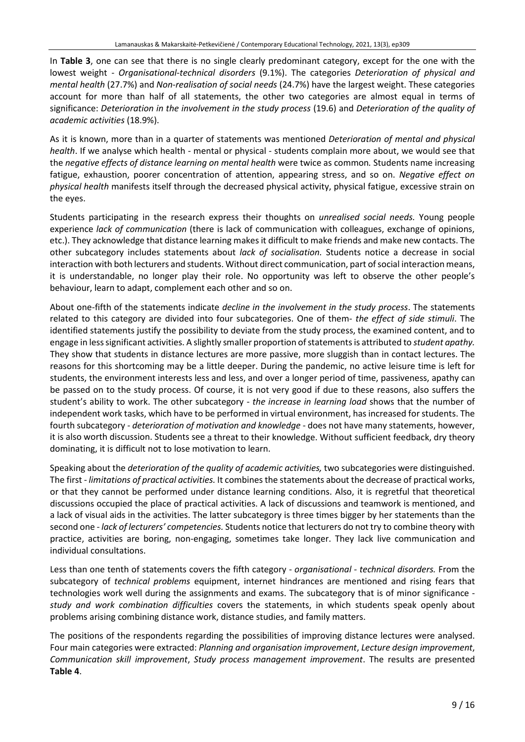In **Table 3**, one can see that there is no single clearly predominant category, except for the one with the lowest weight - *Organisational-technical disorders* (9.1%). The categories *Deterioration of physical and mental health* (27.7%) and *Non-realisation of social needs* (24.7%) have the largest weight. These categories account for more than half of all statements, the other two categories are almost equal in terms of significance: *Deterioration in the involvement in the study process* (19.6) and *Deterioration of the quality of academic activities* (18.9%).

As it is known, more than in a quarter of statements was mentioned *Deterioration of mental and physical health*. If we analyse which health - mental or physical - students complain more about, we would see that the *negative effects of distance learning on mental health* were twice as common*.* Students name increasing fatigue, exhaustion, poorer concentration of attention, appearing stress, and so on. *Negative effect on physical health* manifests itself through the decreased physical activity, physical fatigue, excessive strain on the eyes.

Students participating in the research express their thoughts on *unrealised social needs.* Young people experience *lack of communication* (there is lack of communication with colleagues, exchange of opinions, etc.). They acknowledge that distance learning makes it difficult to make friends and make new contacts. The other subcategory includes statements about *lack of socialisation.* Students notice a decrease in social interaction with both lecturers and students. Without direct communication, part of social interaction means, it is understandable, no longer play their role. No opportunity was left to observe the other people's behaviour, learn to adapt, complement each other and so on.

About one-fifth of the statements indicate *decline in the involvement in the study process*. The statements related to this category are divided into four subcategories. One of them- *the effect of side stimuli*. The identified statements justify the possibility to deviate from the study process, the examined content, and to engage in less significant activities. A slightly smaller proportion of statements is attributed to *student apathy*. They show that students in distance lectures are more passive, more sluggish than in contact lectures. The reasons for this shortcoming may be a little deeper. During the pandemic, no active leisure time is left for students, the environment interests less and less, and over a longer period of time, passiveness, apathy can be passed on to the study process. Of course, it is not very good if due to these reasons, also suffers the student's ability to work. The other subcategory - *the increase in learning load* shows that the number of independent work tasks, which have to be performed in virtual environment, has increased for students. The fourth subcategory - *deterioration of motivation and knowledge* - does not have many statements, however, it is also worth discussion. Students see a threat to their knowledge. Without sufficient feedback, dry theory dominating, it is difficult not to lose motivation to learn.

Speaking about the *deterioration of the quality of academic activities,* two subcategories were distinguished. The first - *limitations of practical activities.* It combinesthe statements about the decrease of practical works, or that they cannot be performed under distance learning conditions. Also, it is regretful that theoretical discussions occupied the place of practical activities. A lack of discussions and teamwork is mentioned, and a lack of visual aids in the activities. The latter subcategory is three times bigger by her statements than the second one - *lack of lecturers' competencies.* Students notice that lecturers do not try to combine theory with practice, activities are boring, non-engaging, sometimes take longer. They lack live communication and individual consultations.

Less than one tenth of statements covers the fifth category - *organisational - technical disorders.* From the subcategory of *technical problems* equipment, internet hindrances are mentioned and rising fears that technologies work well during the assignments and exams. The subcategory that is of minor significance *study and work combination difficulties* covers the statements, in which students speak openly about problems arising combining distance work, distance studies, and family matters.

The positions of the respondents regarding the possibilities of improving distance lectures were analysed. Four main categories were extracted: *Planning and organisation improvement*, *Lecture design improvement*, *Communication skill improvement*, *Study process management improvement*. The results are presented **Table 4**.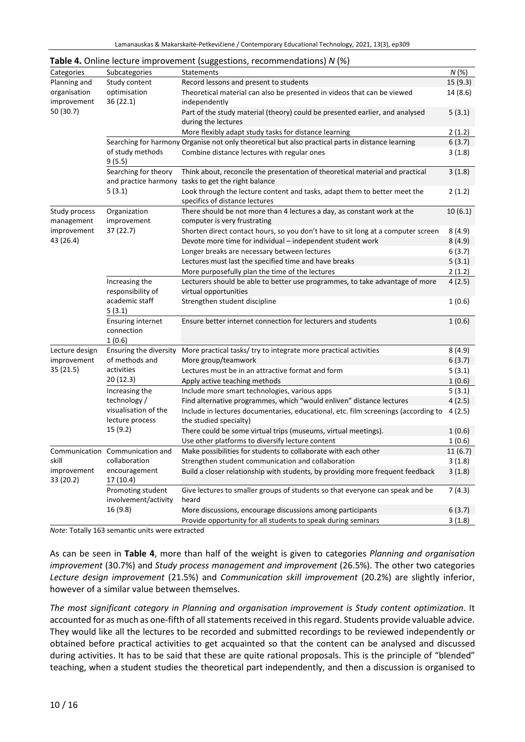|                          |                                                       | <b>Example 12 Contract Contract Component (Supposersing)</b> recommendations <sub>1</sub> , r (19) |          |
|--------------------------|-------------------------------------------------------|----------------------------------------------------------------------------------------------------|----------|
| Categories               | Subcategories                                         | Statements                                                                                         | N(%)     |
| Planning and             | Study content                                         | Record lessons and present to students                                                             | 15(9.3)  |
| organisation             | optimisation                                          | Theoretical material can also be presented in videos that can be viewed                            | 14 (8.6) |
| improvement              | 36 (22.1)                                             | independently                                                                                      |          |
| 50 (30.7)                |                                                       | Part of the study material (theory) could be presented earlier, and analysed                       | 5(3.1)   |
|                          |                                                       | during the lectures                                                                                |          |
|                          |                                                       | More flexibly adapt study tasks for distance learning                                              | 2(1.2)   |
|                          |                                                       | Searching for harmony Organise not only theoretical but also practical parts in distance learning  | 6(3.7)   |
|                          | of study methods                                      | Combine distance lectures with regular ones                                                        | 3(1.8)   |
|                          | 9 (5.5)                                               |                                                                                                    |          |
|                          | Searching for theory                                  | Think about, reconcile the presentation of theoretical material and practical                      | 3(1.8)   |
|                          | 5(3.1)                                                | and practice harmony tasks to get the right balance                                                |          |
|                          |                                                       | Look through the lecture content and tasks, adapt them to better meet the                          | 2(1.2)   |
|                          |                                                       | specifics of distance lectures                                                                     |          |
| Study process            | Organization                                          | There should be not more than 4 lectures a day, as constant work at the                            | 10(6.1)  |
| management               | improvement                                           | computer is very frustrating                                                                       |          |
| improvement              | 37 (22.7)                                             | Shorten direct contact hours, so you don't have to sit long at a computer screen                   | 8(4.9)   |
| 43 (26.4)                |                                                       | Devote more time for individual - independent student work                                         | 8(4.9)   |
|                          |                                                       | Longer breaks are necessary between lectures                                                       | 6(3.7)   |
|                          |                                                       | Lectures must last the specified time and have breaks                                              | 5(3.1)   |
|                          |                                                       | More purposefully plan the time of the lectures                                                    | 2(1.2)   |
|                          | Increasing the                                        | Lecturers should be able to better use programmes, to take advantage of more                       | 4(2.5)   |
|                          | responsibility of                                     | virtual opportunities                                                                              |          |
|                          | academic staff                                        | Strengthen student discipline                                                                      | 1(0.6)   |
|                          | 5(3.1)                                                |                                                                                                    |          |
|                          | <b>Ensuring internet</b>                              | Ensure better internet connection for lecturers and students                                       | 1(0.6)   |
|                          | connection                                            |                                                                                                    |          |
|                          | 1(0.6)                                                |                                                                                                    |          |
| Lecture design           | Ensuring the diversity                                | More practical tasks/ try to integrate more practical activities                                   | 8(4.9)   |
| improvement              | of methods and                                        | More group/teamwork                                                                                | 6(3.7)   |
| 35 (21.5)                | activities                                            | Lectures must be in an attractive format and form                                                  | 5(3.1)   |
|                          | 20 (12.3)                                             | Apply active teaching methods                                                                      | 1(0.6)   |
|                          | Increasing the<br>technology /                        | Include more smart technologies, various apps                                                      | 5(3.1)   |
|                          |                                                       | Find alternative programmes, which "would enliven" distance lectures                               | 4(2.5)   |
|                          | visualisation of the                                  | Include in lectures documentaries, educational, etc. film screenings (according to                 | 4(2.5)   |
|                          | lecture process<br>15 (9.2)                           | the studied specialty)                                                                             |          |
|                          |                                                       | There could be some virtual trips (museums, virtual meetings).                                     | 1(0.6)   |
|                          |                                                       | Use other platforms to diversify lecture content                                                   | 1(0.6)   |
|                          | Communication Communication and                       | Make possibilities for students to collaborate with each other                                     | 11(6.7)  |
| skill                    | collaboration                                         | Strengthen student communication and collaboration                                                 | 3(1.8)   |
| improvement<br>33 (20.2) | encouragement<br>17 (10.4)                            | Build a closer relationship with students, by providing more frequent feedback                     | 3(1.8)   |
|                          | Promoting student<br>involvement/activity<br>16 (9.8) | Give lectures to smaller groups of students so that everyone can speak and be<br>heard             | 7(4.3)   |
|                          |                                                       | More discussions, encourage discussions among participants                                         | 6(3.7)   |
|                          |                                                       | Provide opportunity for all students to speak during seminars                                      | 3(1.8)   |

**Table 4.** Online lecture improvement (suggestions, recommendations) *N* (%)

*Note*: Totally 163 semantic units were extracted

As can be seen in **Table 4**, more than half of the weight is given to categories *Planning and organisation improvement* (30.7%) and *Study process management and improvement* (26.5%). The other two categories *Lecture design improvement* (21.5%) and *Communication skill improvement* (20.2%) are slightly inferior, however of a similar value between themselves.

*The most significant category in Planning and organisation improvement is Study content optimization*. It accounted for as much as one-fifth of all statements received in this regard. Students provide valuable advice. They would like all the lectures to be recorded and submitted recordings to be reviewed independently or obtained before practical activities to get acquainted so that the content can be analysed and discussed during activities. It has to be said that these are quite rational proposals. This is the principle of "blended" teaching, when a student studies the theoretical part independently, and then a discussion is organised to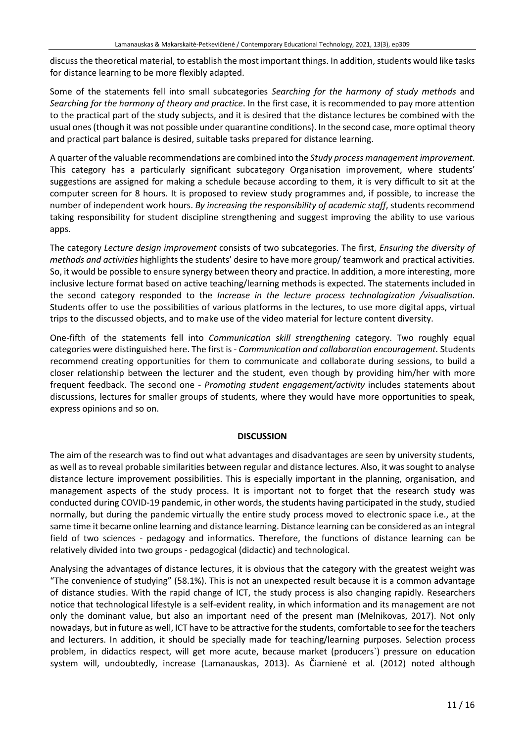discuss the theoretical material, to establish the most important things. In addition, students would like tasks for distance learning to be more flexibly adapted.

Some of the statements fell into small subcategories *Searching for the harmony of study methods* and *Searching for the harmony of theory and practice*. In the first case, it is recommended to pay more attention to the practical part of the study subjects, and it is desired that the distance lectures be combined with the usual ones(though it was not possible under quarantine conditions). In the second case, more optimal theory and practical part balance is desired, suitable tasks prepared for distance learning.

A quarter of the valuable recommendations are combined into the *Study process management improvement*. This category has a particularly significant subcategory Organisation improvement, where students' suggestions are assigned for making a schedule because according to them, it is very difficult to sit at the computer screen for 8 hours. It is proposed to review study programmes and, if possible, to increase the number of independent work hours. *By increasing the responsibility of academic staff*, students recommend taking responsibility for student discipline strengthening and suggest improving the ability to use various apps.

The category *Lecture design improvement* consists of two subcategories. The first, *Ensuring the diversity of methods and activities* highlights the students' desire to have more group/ teamwork and practical activities. So, it would be possible to ensure synergy between theory and practice. In addition, a more interesting, more inclusive lecture format based on active teaching/learning methods is expected. The statements included in the second category responded to the *Increase in the lecture process technologization /visualisation.* Students offer to use the possibilities of various platforms in the lectures, to use more digital apps, virtual trips to the discussed objects, and to make use of the video material for lecture content diversity.

One-fifth of the statements fell into *Communication skill strengthening* category. Two roughly equal categories were distinguished here. The first is - *Communication and collaboration encouragement.* Students recommend creating opportunities for them to communicate and collaborate during sessions, to build a closer relationship between the lecturer and the student, even though by providing him/her with more frequent feedback. The second one - *Promoting student engagement/activity* includes statements about discussions, lectures for smaller groups of students, where they would have more opportunities to speak, express opinions and so on.

### **DISCUSSION**

The aim of the research was to find out what advantages and disadvantages are seen by university students, as well asto reveal probable similarities between regular and distance lectures. Also, it wassought to analyse distance lecture improvement possibilities. This is especially important in the planning, organisation, and management aspects of the study process. It is important not to forget that the research study was conducted during COVID-19 pandemic, in other words, the students having participated in the study, studied normally, but during the pandemic virtually the entire study process moved to electronic space i.e., at the same time it became online learning and distance learning. Distance learning can be considered as an integral field of two sciences - pedagogy and informatics. Therefore, the functions of distance learning can be relatively divided into two groups - pedagogical (didactic) and technological.

Analysing the advantages of distance lectures, it is obvious that the category with the greatest weight was "The convenience of studying" (58.1%). This is not an unexpected result because it is a common advantage of distance studies. With the rapid change of ICT, the study process is also changing rapidly. Researchers notice that technological lifestyle is a self-evident reality, in which information and its management are not only the dominant value, but also an important need of the present man (Melnikovas, 2017). Not only nowadays, but in future as well, ICT have to be attractive forthe students, comfortable to see forthe teachers and lecturers. In addition, it should be specially made for teaching/learning purposes. Selection process problem, in didactics respect, will get more acute, because market (producers`) pressure on education system will, undoubtedly, increase (Lamanauskas, 2013). As Čiarnienė et al. (2012) noted although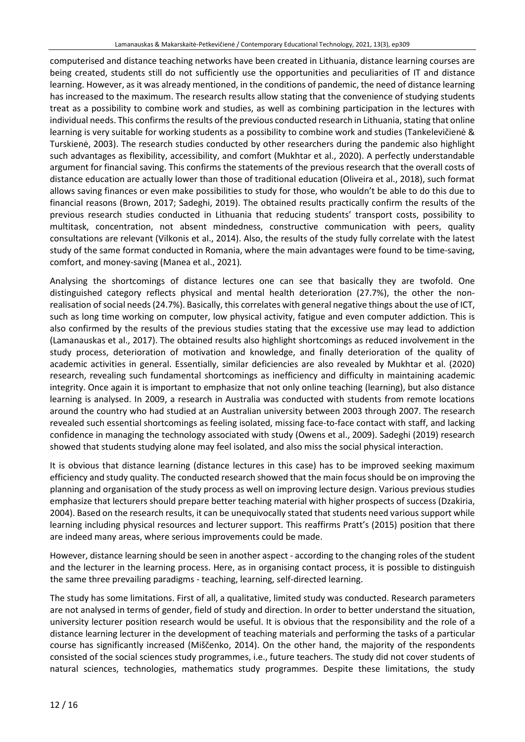computerised and distance teaching networks have been created in Lithuania, distance learning courses are being created, students still do not sufficiently use the opportunities and peculiarities of IT and distance learning. However, as it was already mentioned, in the conditions of pandemic, the need of distance learning has increased to the maximum. The research results allow stating that the convenience of studying students treat as a possibility to combine work and studies, as well as combining participation in the lectures with individual needs. This confirms the results of the previous conducted research in Lithuania, stating that online learning is very suitable for working students as a possibility to combine work and studies (Tankelevičienė & Turskienė, 2003). The research studies conducted by other researchers during the pandemic also highlight such advantages as flexibility, accessibility, and comfort (Mukhtar et al., 2020). A perfectly understandable argument for financial saving. This confirms the statements of the previous research that the overall costs of distance education are actually lower than those of traditional education (Oliveira et al., 2018), such format allows saving finances or even make possibilities to study for those, who wouldn't be able to do this due to financial reasons (Brown, 2017; Sadeghi, 2019). The obtained results practically confirm the results of the previous research studies conducted in Lithuania that reducing students' transport costs, possibility to multitask, concentration, not absent mindedness, constructive communication with peers, quality consultations are relevant (Vilkonis et al., 2014). Also, the results of the study fully correlate with the latest study of the same format conducted in Romania, where the main advantages were found to be time-saving, comfort, and money-saving (Manea et al., 2021)*.*

Analysing the shortcomings of distance lectures one can see that basically they are twofold. One distinguished category reflects physical and mental health deterioration (27.7%), the other the nonrealisation of social needs (24.7%). Basically, this correlates with general negative things about the use of ICT, such as long time working on computer, low physical activity, fatigue and even computer addiction. This is also confirmed by the results of the previous studies stating that the excessive use may lead to addiction (Lamanauskas et al., 2017). The obtained results also highlight shortcomings as reduced involvement in the study process, deterioration of motivation and knowledge, and finally deterioration of the quality of academic activities in general. Essentially, similar deficiencies are also revealed by Mukhtar et al. (2020) research, revealing such fundamental shortcomings as inefficiency and difficulty in maintaining academic integrity. Once again it is important to emphasize that not only online teaching (learning), but also distance learning is analysed. In 2009, a research in Australia was conducted with students from remote locations around the country who had studied at an Australian university between 2003 through 2007. The research revealed such essential shortcomings as feeling isolated, missing face-to-face contact with staff, and lacking confidence in managing the technology associated with study (Owens et al., 2009). Sadeghi (2019) research showed that students studying alone may feel isolated, and also miss the social physical interaction.

It is obvious that distance learning (distance lectures in this case) has to be improved seeking maximum efficiency and study quality. The conducted research showed that the main focusshould be on improving the planning and organisation of the study process as well on improving lecture design. Various previous studies emphasize that lecturers should prepare better teaching material with higher prospects of success (Dzakiria, 2004). Based on the research results, it can be unequivocally stated that students need various support while learning including physical resources and lecturer support. This reaffirms Pratt's (2015) position that there are indeed many areas, where serious improvements could be made.

However, distance learning should be seen in another aspect - according to the changing roles of the student and the lecturer in the learning process. Here, as in organising contact process, it is possible to distinguish the same three prevailing paradigms - teaching, learning, self-directed learning.

The study has some limitations. First of all, a qualitative, limited study was conducted. Research parameters are not analysed in terms of gender, field of study and direction. In order to better understand the situation, university lecturer position research would be useful. It is obvious that the responsibility and the role of a distance learning lecturer in the development of teaching materials and performing the tasks of a particular course has significantly increased (Miščenko, 2014). On the other hand, the majority of the respondents consisted of the social sciences study programmes, i.e., future teachers. The study did not cover students of natural sciences, technologies, mathematics study programmes. Despite these limitations, the study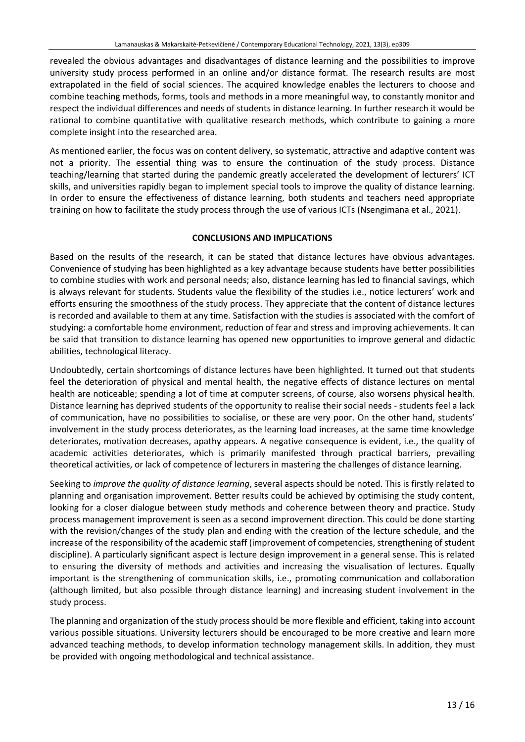revealed the obvious advantages and disadvantages of distance learning and the possibilities to improve university study process performed in an online and/or distance format. The research results are most extrapolated in the field of social sciences. The acquired knowledge enables the lecturers to choose and combine teaching methods, forms, tools and methods in a more meaningful way, to constantly monitor and respect the individual differences and needs of students in distance learning. In further research it would be rational to combine quantitative with qualitative research methods, which contribute to gaining a more complete insight into the researched area.

As mentioned earlier, the focus was on content delivery, so systematic, attractive and adaptive content was not a priority. The essential thing was to ensure the continuation of the study process. Distance teaching/learning that started during the pandemic greatly accelerated the development of lecturers' ICT skills, and universities rapidly began to implement special tools to improve the quality of distance learning. In order to ensure the effectiveness of distance learning, both students and teachers need appropriate training on how to facilitate the study process through the use of various ICTs (Nsengimana et al., 2021).

### **CONCLUSIONS AND IMPLICATIONS**

Based on the results of the research, it can be stated that distance lectures have obvious advantages. Convenience of studying has been highlighted as a key advantage because students have better possibilities to combine studies with work and personal needs; also, distance learning has led to financial savings, which is always relevant for students. Students value the flexibility of the studies i.e., notice lecturers' work and efforts ensuring the smoothness of the study process. They appreciate that the content of distance lectures is recorded and available to them at any time. Satisfaction with the studies is associated with the comfort of studying: a comfortable home environment, reduction of fear and stress and improving achievements. It can be said that transition to distance learning has opened new opportunities to improve general and didactic abilities, technological literacy.

Undoubtedly, certain shortcomings of distance lectures have been highlighted. It turned out that students feel the deterioration of physical and mental health, the negative effects of distance lectures on mental health are noticeable; spending a lot of time at computer screens, of course, also worsens physical health. Distance learning has deprived students of the opportunity to realise their social needs - students feel a lack of communication, have no possibilities to socialise, or these are very poor. On the other hand, students' involvement in the study process deteriorates, as the learning load increases, at the same time knowledge deteriorates, motivation decreases, apathy appears. A negative consequence is evident, i.e., the quality of academic activities deteriorates, which is primarily manifested through practical barriers, prevailing theoretical activities, or lack of competence of lecturers in mastering the challenges of distance learning.

Seeking to *improve the quality of distance learning*, several aspects should be noted. This is firstly related to planning and organisation improvement. Better results could be achieved by optimising the study content, looking for a closer dialogue between study methods and coherence between theory and practice. Study process management improvement is seen as a second improvement direction. This could be done starting with the revision/changes of the study plan and ending with the creation of the lecture schedule, and the increase of the responsibility of the academic staff (improvement of competencies, strengthening of student discipline). A particularly significant aspect is lecture design improvement in a general sense. This is related to ensuring the diversity of methods and activities and increasing the visualisation of lectures. Equally important is the strengthening of communication skills, i.e., promoting communication and collaboration (although limited, but also possible through distance learning) and increasing student involvement in the study process.

The planning and organization of the study process should be more flexible and efficient, taking into account various possible situations. University lecturers should be encouraged to be more creative and learn more advanced teaching methods, to develop information technology management skills. In addition, they must be provided with ongoing methodological and technical assistance.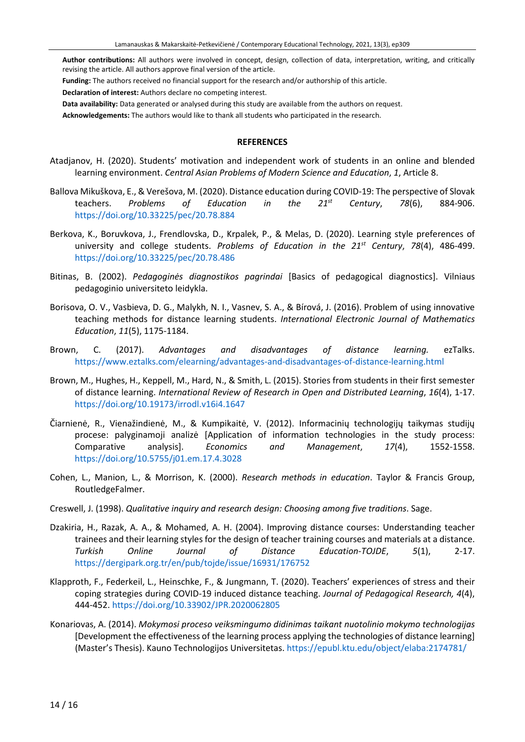**Author contributions:** All authors were involved in concept, design, collection of data, interpretation, writing, and critically revising the article. All authors approve final version of the article.

**Funding:** The authors received no financial support for the research and/or authorship of this article.

**Declaration of interest:** Authors declare no competing interest.

**Data availability:** Data generated or analysed during this study are available from the authors on request.

**Acknowledgements:** The authors would like to thank all students who participated in the research.

#### **REFERENCES**

- Atadjanov, H. (2020). Students' motivation and independent work of students in an online and blended learning environment. *Central Asian Problems of Modern Science and Education*, *1*, Article 8.
- Ballova Mikuškova, E., & Verešova, M. (2020). Distance education during COVID-19: The perspective of Slovak teachers. *Problems of Education in the 21st Century*, *78*(6), 884-906. <https://doi.org/10.33225/pec/20.78.884>
- Berkova, K., Boruvkova, J., Frendlovska, D., Krpalek, P., & Melas, D. (2020). Learning style preferences of university and college students. *Problems of Education in the 21st Century*, *78*(4), 486-499. <https://doi.org/10.33225/pec/20.78.486>
- Bitinas, B. (2002). *Pedagoginės diagnostikos pagrindai* [Basics of pedagogical diagnostics]. Vilniaus pedagoginio universiteto leidykla.
- Borisova, O. V., Vasbieva, D. G., Malykh, N. I., Vasnev, S. A., & Bírová, J. (2016). Problem of using innovative teaching methods for distance learning students. *International Electronic Journal of Mathematics Education*, *11*(5), 1175-1184.
- Brown, C. (2017). *Advantages and disadvantages of distance learning.* ezTalks. <https://www.eztalks.com/elearning/advantages-and-disadvantages-of-distance-learning.html>
- Brown, M., Hughes, H., Keppell, M., Hard, N., & Smith, L. (2015). Stories from students in their first semester of distance learning. *International Review of Research in Open and Distributed Learning*, *16*(4), 1-17. <https://doi.org/10.19173/irrodl.v16i4.1647>
- Čiarnienė, R., Vienažindienė, M., & Kumpikaitė, V. (2012). Informacinių technologijų taikymas studijų procese: palyginamoji analizė [Application of information technologies in the study process: Comparative analysis]. *Economics and Management*, *17*(4), 1552-1558. <https://doi.org/10.5755/j01.em.17.4.3028>
- Cohen, L., Manion, L., & Morrison, K. (2000). *Research methods in education*. Taylor & Francis Group, RoutledgeFalmer.
- Creswell, J. (1998). *Qualitative inquiry and research design: Choosing among five traditions*. Sage.
- Dzakiria, H., Razak, A. A., & Mohamed, A. H. (2004). Improving distance courses: Understanding teacher trainees and their learning styles for the design of teacher training courses and materials at a distance. *Turkish Online Journal of Distance Education-TOJDE*, *5*(1), 2-17. <https://dergipark.org.tr/en/pub/tojde/issue/16931/176752>
- Klapproth, F., Federkeil, L., Heinschke, F., & Jungmann, T. (2020). Teachers' experiences of stress and their coping strategies during COVID-19 induced distance teaching. *Journal of Pedagogical Research, 4*(4), 444-452. <https://doi.org/10.33902/JPR.2020062805>
- Konariovas, A. (2014). *Mokymosi proceso veiksmingumo didinimas taikant nuotolinio mokymo technologijas* [Development the effectiveness of the learning process applying the technologies of distance learning] (Master's Thesis). Kauno Technologijos Universitetas. <https://epubl.ktu.edu/object/elaba:2174781/>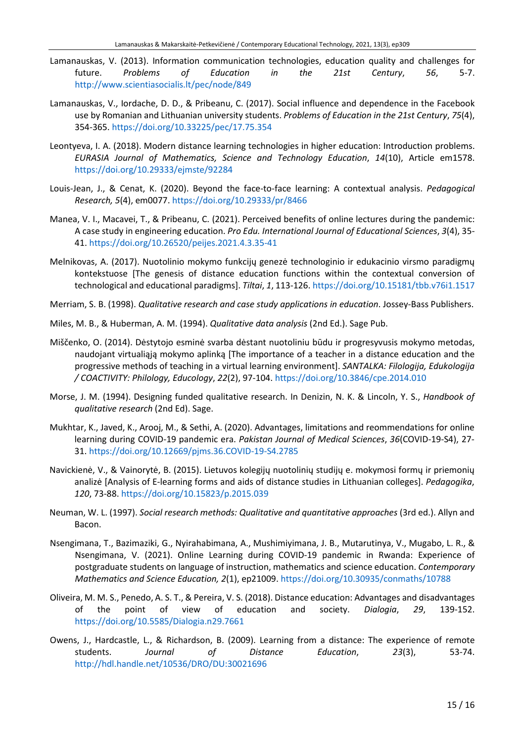- Lamanauskas, V. (2013). Information communication technologies, education quality and challenges for future. *Problems of Education in the 21st Century*, *56*, 5-7. <http://www.scientiasocialis.lt/pec/node/849>
- Lamanauskas, V., Iordache, D. D., & Pribeanu, C. (2017). Social influence and dependence in the Facebook use by Romanian and Lithuanian university students. *Problems of Education in the 21st Century*, *75*(4), 354-365. <https://doi.org/10.33225/pec/17.75.354>
- Leontyeva, I. A. (2018). Modern distance learning technologies in higher education: Introduction problems. *EURASIA Journal of Mathematics, Science and Technology Education*, *14*(10), Article em1578. <https://doi.org/10.29333/ejmste/92284>
- Louis-Jean, J., & Cenat, K. (2020). Beyond the face-to-face learning: A contextual analysis. *Pedagogical Research, 5*(4), em0077. <https://doi.org/10.29333/pr/8466>
- Manea, V. I., Macavei, T., & Pribeanu, C. (2021). Perceived benefits of online lectures during the pandemic: A case study in engineering education. *Pro Edu. International Journal of Educational Sciences*, *3*(4), 35- 41. <https://doi.org/10.26520/peijes.2021.4.3.35-41>
- Melnikovas, A. (2017). Nuotolinio mokymo funkcijų genezė technologinio ir edukacinio virsmo paradigmų kontekstuose [The genesis of distance education functions within the contextual conversion of technological and educational paradigms]. *Tiltai*, *1*, 113-126. <https://doi.org/10.15181/tbb.v76i1.1517>
- Merriam, S. B. (1998). *Qualitative research and case study applications in education*. Jossey-Bass Publishers.
- Miles, M. B., & Huberman, A. M. (1994). *Qualitative data analysis* (2nd Ed.). Sage Pub.
- Miščenko, O. (2014). Dėstytojo esminė svarba dėstant nuotoliniu būdu ir progresyvusis mokymo metodas, naudojant virtualiąją mokymo aplinką [The importance of a teacher in a distance education and the progressive methods of teaching in a virtual learning environment]. *SANTALKA: Filologija, Edukologija / COACTIVITY: Philology, Educology*, *22*(2), 97-104. <https://doi.org/10.3846/cpe.2014.010>
- Morse, J. M. (1994). Designing funded qualitative research. In Denizin, N. K. & Lincoln, Y. S., *Handbook of qualitative research* (2nd Ed). Sage.
- Mukhtar, K., Javed, K., Arooj, M., & Sethi, A. (2020). Advantages, limitations and reommendations for online learning during COVID-19 pandemic era. *Pakistan Journal of Medical Sciences*, *36*(COVID-19-S4), 27- 31. [https://doi.org/10.12669/pjms.36.COVID-19-S4.2785](https://doi.org/10.12669/pjms.36.COVID19-S4.2785)
- Navickienė, V., & Vainorytė, B. (2015). Lietuvos kolegijų nuotolinių studijų e. mokymosi formų ir priemonių analizė [Analysis of E-learning forms and aids of distance studies in Lithuanian colleges]. *Pedagogika*, *120*, 73-88. <https://doi.org/10.15823/p.2015.039>
- Neuman, W. L. (1997). *Social research methods: Qualitative and quantitative approaches* (3rd ed.). Allyn and Bacon.
- Nsengimana, T., Bazimaziki, G., Nyirahabimana, A., Mushimiyimana, J. B., Mutarutinya, V., Mugabo, L. R., & Nsengimana, V. (2021). Online Learning during COVID-19 pandemic in Rwanda: Experience of postgraduate students on language of instruction, mathematics and science education. *Contemporary Mathematics and Science Education, 2*(1), ep21009. <https://doi.org/10.30935/conmaths/10788>
- Oliveira, M. M. S., Penedo, A. S. T., & Pereira, V. S. (2018). Distance education: Advantages and disadvantages of the point of view of education and society. *Dialogia*, *29*, 139-152. <https://doi.org/10.5585/Dialogia.n29.7661>
- Owens, J., Hardcastle, L., & Richardson, B. (2009). Learning from a distance: The experience of remote students. *Journal of Distance Education*, *23*(3), 53-74. <http://hdl.handle.net/10536/DRO/DU:30021696>